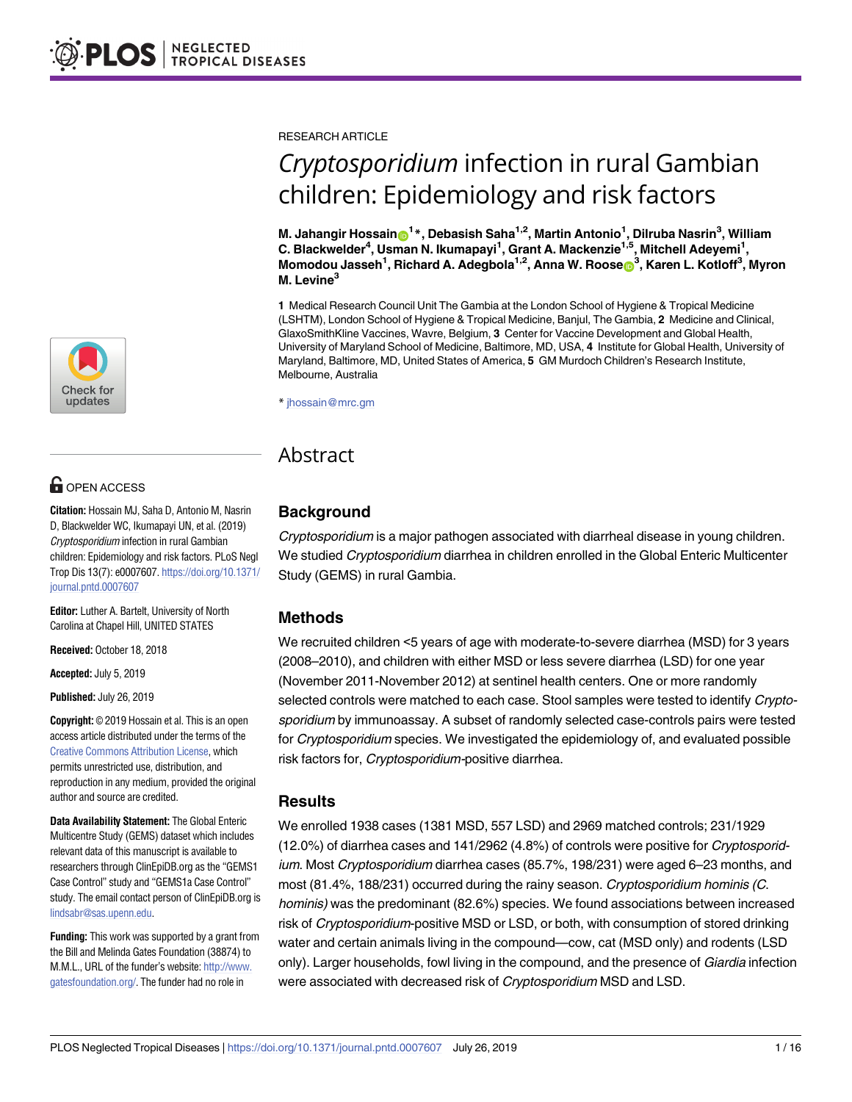[a1111111111](http://crossmark.crossref.org/dialog/?doi=10.1371/journal.pntd.0007607&domain=pdf&date_stamp=2019-08-07) [a1111111111](http://crossmark.crossref.org/dialog/?doi=10.1371/journal.pntd.0007607&domain=pdf&date_stamp=2019-08-07) [a1111111111](http://crossmark.crossref.org/dialog/?doi=10.1371/journal.pntd.0007607&domain=pdf&date_stamp=2019-08-07) Check for updates

# **G** OPEN ACCESS

**Citation:** Hossain MJ, Saha D, Antonio M, Nasrin D, Blackwelder WC, Ikumapayi UN, et al. (2019) Cryptosporidium infection in rural Gambian children: Epidemiology and risk factors. PLoS Negl Trop Dis 13(7): e0007607. [https://doi.org/10.1371/](https://doi.org/10.1371/journal.pntd.0007607) [journal.pntd.0007607](https://doi.org/10.1371/journal.pntd.0007607)

**Editor:** Luther A. Bartelt, University of North Carolina at Chapel Hill, UNITED STATES

**Received:** October 18, 2018

**Accepted:** July 5, 2019

**Published:** July 26, 2019

**Copyright:** © 2019 Hossain et al. This is an open access article distributed under the terms of the Creative Commons [Attribution](http://creativecommons.org/licenses/by/4.0/) License, which permits unrestricted use, distribution, and reproduction in any medium, provided the original author and source are credited.

**Data Availability Statement:** The Global Enteric Multicentre Study (GEMS) dataset which includes relevant data of this manuscript is available to researchers through ClinEpiDB.org as the "GEMS1 Case Control" study and "GEMS1a Case Control" study. The email contact person of ClinEpiDB.org is [lindsabr@sas.upenn.edu](mailto:lindsabr@sas.upenn.edu).

**Funding:** This work was supported by a grant from the Bill and Melinda Gates Foundation (38874) to M.M.L., URL of the funder's website: [http://www.](http://www.gatesfoundation.org/) [gatesfoundation.org/.](http://www.gatesfoundation.org/) The funder had no role in

RESEARCH ARTICLE

# *Cryptosporidium* infection in rural Gambian children: Epidemiology and risk factors

 $\blacksquare$  **M. Jahangir Hossain** $\blacksquare^{1*}$ **, Debasish Saha** $^{1,2}$ **, Martin Antonio** $^{1}$ **, Dilruba Nasrin** $^{3}$ **, William C. Blackwelder4 , Usman N. Ikumapayi1 , Grant A. Mackenzie1,5, Mitchell Adeyemi1 ,**  $M$ omodou Jasseh $^1$ , Richard A. Adegbola $^{1,2}$ , Anna W. Roose $\bigcirc^3$ , Karen L. Kotloff $^3$ , Myron **M. Levine3**

**1** Medical Research Council Unit The Gambia at the London School of Hygiene & Tropical Medicine (LSHTM), London School of Hygiene & Tropical Medicine, Banjul, The Gambia, **2** Medicine and Clinical, GlaxoSmithKline Vaccines, Wavre, Belgium, **3** Center for Vaccine Development and Global Health, University of Maryland School of Medicine, Baltimore, MD, USA, **4** Institute for Global Health, University of Maryland, Baltimore, MD, United States of America, **5** GM Murdoch Children's Research Institute, Melbourne, Australia

\* jhossain@mrc.gm

# Abstract

## **Background**

Cryptosporidium is a major pathogen associated with diarrheal disease in young children. We studied Cryptosporidium diarrhea in children enrolled in the Global Enteric Multicenter Study (GEMS) in rural Gambia.

## **Methods**

We recruited children <5 years of age with moderate-to-severe diarrhea (MSD) for 3 years (2008–2010), and children with either MSD or less severe diarrhea (LSD) for one year (November 2011-November 2012) at sentinel health centers. One or more randomly selected controls were matched to each case. Stool samples were tested to identify Cryptosporidium by immunoassay. A subset of randomly selected case-controls pairs were tested for Cryptosporidium species. We investigated the epidemiology of, and evaluated possible risk factors for, Cryptosporidium-positive diarrhea.

## **Results**

We enrolled 1938 cases (1381 MSD, 557 LSD) and 2969 matched controls; 231/1929 (12.0%) of diarrhea cases and 141/2962 (4.8%) of controls were positive for Cryptosporidium. Most Cryptosporidium diarrhea cases (85.7%, 198/231) were aged 6-23 months, and most (81.4%, 188/231) occurred during the rainy season. Cryptosporidium hominis (C. hominis) was the predominant (82.6%) species. We found associations between increased risk of Cryptosporidium-positive MSD or LSD, or both, with consumption of stored drinking water and certain animals living in the compound—cow, cat (MSD only) and rodents (LSD only). Larger households, fowl living in the compound, and the presence of Giardia infection were associated with decreased risk of Cryptosporidium MSD and LSD.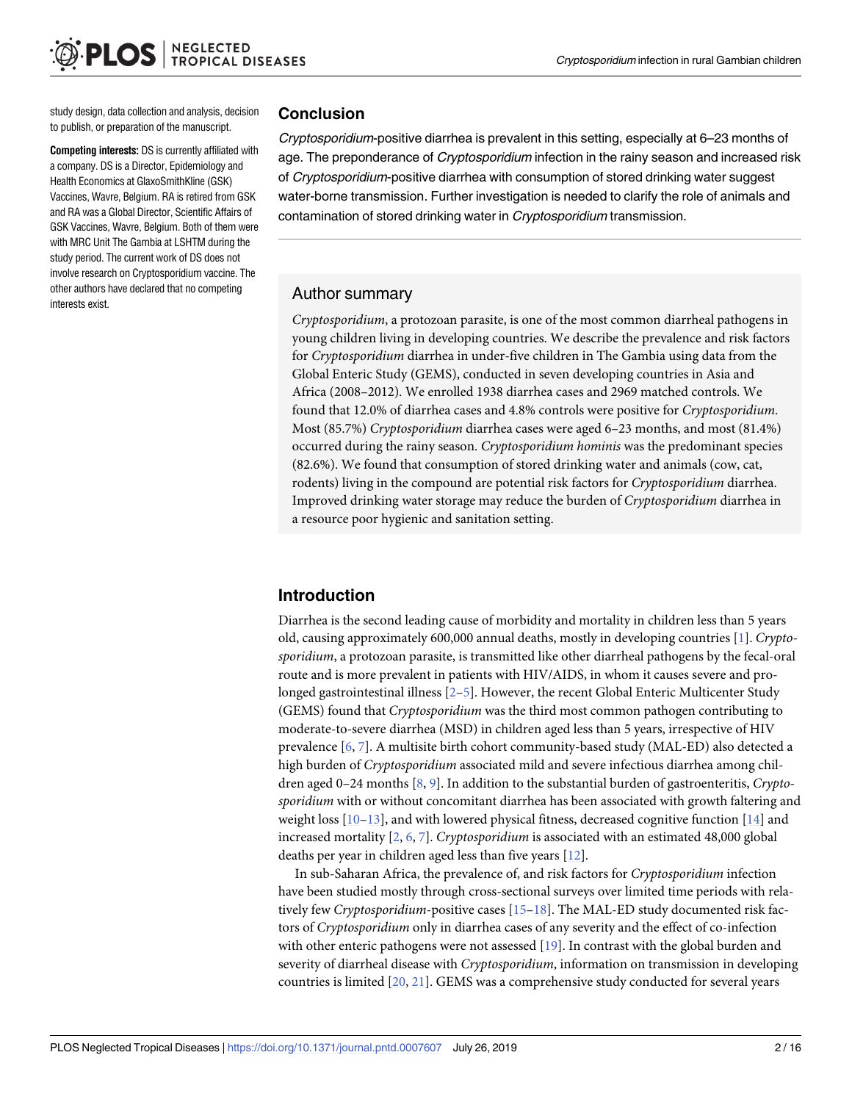<span id="page-1-0"></span>study design, data collection and analysis, decision to publish, or preparation of the manuscript.

**Competing interests:** DS is currently affiliated with a company. DS is a Director, Epidemiology and Health Economics at GlaxoSmithKline (GSK) Vaccines, Wavre, Belgium. RA is retired from GSK and RA was a Global Director, Scientific Affairs of GSK Vaccines, Wavre, Belgium. Both of them were with MRC Unit The Gambia at LSHTM during the study period. The current work of DS does not involve research on Cryptosporidium vaccine. The other authors have declared that no competing interests exist.

#### **Conclusion**

Cryptosporidium-positive diarrhea is prevalent in this setting, especially at 6–23 months of age. The preponderance of *Cryptosporidium* infection in the rainy season and increased risk of Cryptosporidium-positive diarrhea with consumption of stored drinking water suggest water-borne transmission. Further investigation is needed to clarify the role of animals and contamination of stored drinking water in Cryptosporidium transmission.

## Author summary

*Cryptosporidium*, a protozoan parasite, is one of the most common diarrheal pathogens in young children living in developing countries. We describe the prevalence and risk factors for *Cryptosporidium* diarrhea in under-five children in The Gambia using data from the Global Enteric Study (GEMS), conducted in seven developing countries in Asia and Africa (2008–2012). We enrolled 1938 diarrhea cases and 2969 matched controls. We found that 12.0% of diarrhea cases and 4.8% controls were positive for *Cryptosporidium*. Most (85.7%) *Cryptosporidium* diarrhea cases were aged 6–23 months, and most (81.4%) occurred during the rainy season. *Cryptosporidium hominis* was the predominant species (82.6%). We found that consumption of stored drinking water and animals (cow, cat, rodents) living in the compound are potential risk factors for *Cryptosporidium* diarrhea. Improved drinking water storage may reduce the burden of *Cryptosporidium* diarrhea in a resource poor hygienic and sanitation setting.

## **Introduction**

Diarrhea is the second leading cause of morbidity and mortality in children less than 5 years old, causing approximately 600,000 annual deaths, mostly in developing countries [[1](#page-12-0)]. *Cryptosporidium*, a protozoan parasite, is transmitted like other diarrheal pathogens by the fecal-oral route and is more prevalent in patients with HIV/AIDS, in whom it causes severe and prolonged gastrointestinal illness [\[2–5\]](#page-12-0). However, the recent Global Enteric Multicenter Study (GEMS) found that *Cryptosporidium* was the third most common pathogen contributing to moderate-to-severe diarrhea (MSD) in children aged less than 5 years, irrespective of HIV prevalence [\[6,](#page-12-0) [7](#page-12-0)]. A multisite birth cohort community-based study (MAL-ED) also detected a high burden of *Cryptosporidium* associated mild and severe infectious diarrhea among children aged 0–24 months [[8](#page-12-0), [9](#page-12-0)]. In addition to the substantial burden of gastroenteritis, *Cryptosporidium* with or without concomitant diarrhea has been associated with growth faltering and weight loss  $[10-13]$  $[10-13]$  $[10-13]$ , and with lowered physical fitness, decreased cognitive function  $[14]$  $[14]$  $[14]$  and increased mortality [[2](#page-12-0), [6,](#page-12-0) [7\]](#page-12-0). *Cryptosporidium* is associated with an estimated 48,000 global deaths per year in children aged less than five years [[12](#page-12-0)].

In sub-Saharan Africa, the prevalence of, and risk factors for *Cryptosporidium* infection have been studied mostly through cross-sectional surveys over limited time periods with relatively few *Cryptosporidium*-positive cases [[15](#page-13-0)–[18](#page-13-0)]. The MAL-ED study documented risk factors of *Cryptosporidium* only in diarrhea cases of any severity and the effect of co-infection with other enteric pathogens were not assessed [\[19\]](#page-13-0). In contrast with the global burden and severity of diarrheal disease with *Cryptosporidium*, information on transmission in developing countries is limited [\[20,](#page-13-0) [21\]](#page-13-0). GEMS was a comprehensive study conducted for several years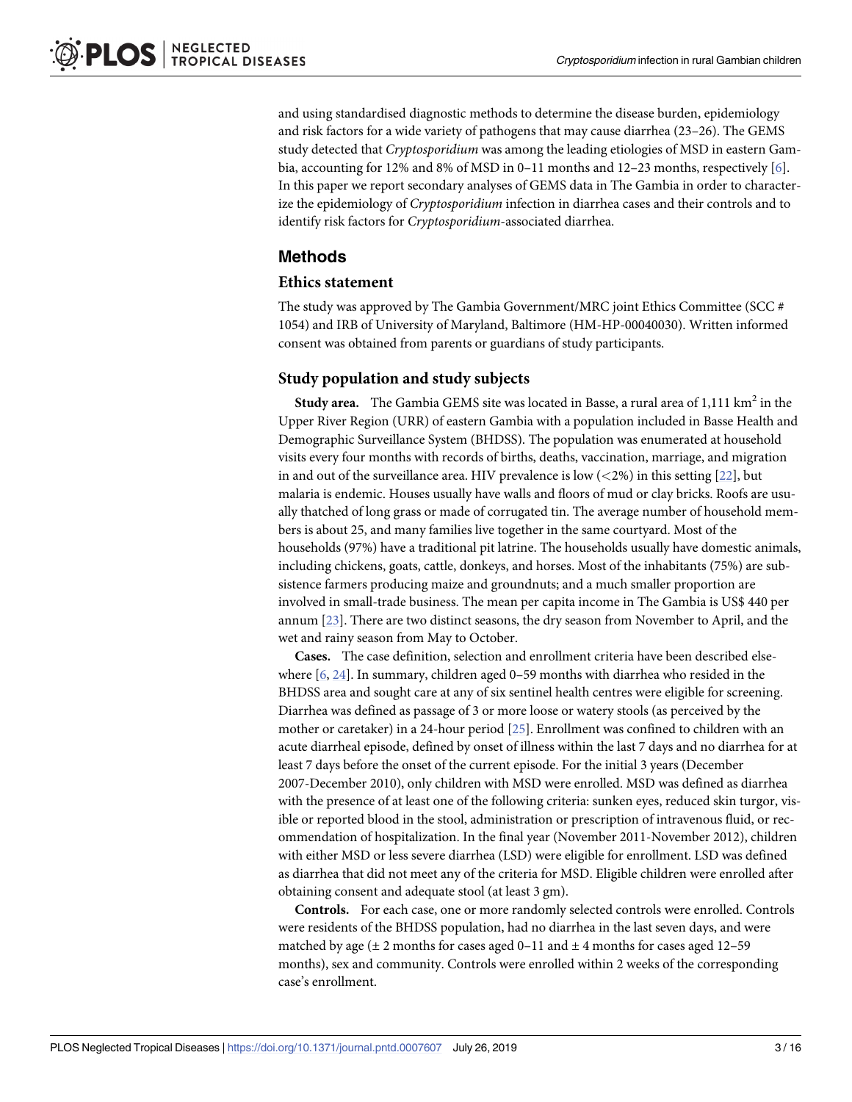<span id="page-2-0"></span>and using standardised diagnostic methods to determine the disease burden, epidemiology and risk factors for a wide variety of pathogens that may cause diarrhea (23–26). The GEMS study detected that *Cryptosporidium* was among the leading etiologies of MSD in eastern Gam-bia, accounting for 12% and 8% of MSD in 0–11 months and 12–23 months, respectively [\[6](#page-12-0)]. In this paper we report secondary analyses of GEMS data in The Gambia in order to characterize the epidemiology of *Cryptosporidium* infection in diarrhea cases and their controls and to identify risk factors for *Cryptosporidium*-associated diarrhea.

## **Methods**

#### **Ethics statement**

The study was approved by The Gambia Government/MRC joint Ethics Committee (SCC # 1054) and IRB of University of Maryland, Baltimore (HM-HP-00040030). Written informed consent was obtained from parents or guardians of study participants.

## **Study population and study subjects**

**Study area.** The Gambia GEMS site was located in Basse, a rural area of 1,111 km<sup>2</sup> in the Upper River Region (URR) of eastern Gambia with a population included in Basse Health and Demographic Surveillance System (BHDSS). The population was enumerated at household visits every four months with records of births, deaths, vaccination, marriage, and migration in and out of the surveillance area. HIV prevalence is low (*<*2%) in this setting [\[22\]](#page-13-0), but malaria is endemic. Houses usually have walls and floors of mud or clay bricks. Roofs are usually thatched of long grass or made of corrugated tin. The average number of household members is about 25, and many families live together in the same courtyard. Most of the households (97%) have a traditional pit latrine. The households usually have domestic animals, including chickens, goats, cattle, donkeys, and horses. Most of the inhabitants (75%) are subsistence farmers producing maize and groundnuts; and a much smaller proportion are involved in small-trade business. The mean per capita income in The Gambia is US\$ 440 per annum [\[23\]](#page-13-0). There are two distinct seasons, the dry season from November to April, and the wet and rainy season from May to October.

**Cases.** The case definition, selection and enrollment criteria have been described elsewhere [[6,](#page-12-0) [24\]](#page-13-0). In summary, children aged 0–59 months with diarrhea who resided in the BHDSS area and sought care at any of six sentinel health centres were eligible for screening. Diarrhea was defined as passage of 3 or more loose or watery stools (as perceived by the mother or caretaker) in a 24-hour period [\[25\]](#page-13-0). Enrollment was confined to children with an acute diarrheal episode, defined by onset of illness within the last 7 days and no diarrhea for at least 7 days before the onset of the current episode. For the initial 3 years (December 2007-December 2010), only children with MSD were enrolled. MSD was defined as diarrhea with the presence of at least one of the following criteria: sunken eyes, reduced skin turgor, visible or reported blood in the stool, administration or prescription of intravenous fluid, or recommendation of hospitalization. In the final year (November 2011-November 2012), children with either MSD or less severe diarrhea (LSD) were eligible for enrollment. LSD was defined as diarrhea that did not meet any of the criteria for MSD. Eligible children were enrolled after obtaining consent and adequate stool (at least 3 gm).

**Controls.** For each case, one or more randomly selected controls were enrolled. Controls were residents of the BHDSS population, had no diarrhea in the last seven days, and were matched by age ( $\pm$  2 months for cases aged 0–11 and  $\pm$  4 months for cases aged 12–59 months), sex and community. Controls were enrolled within 2 weeks of the corresponding case's enrollment.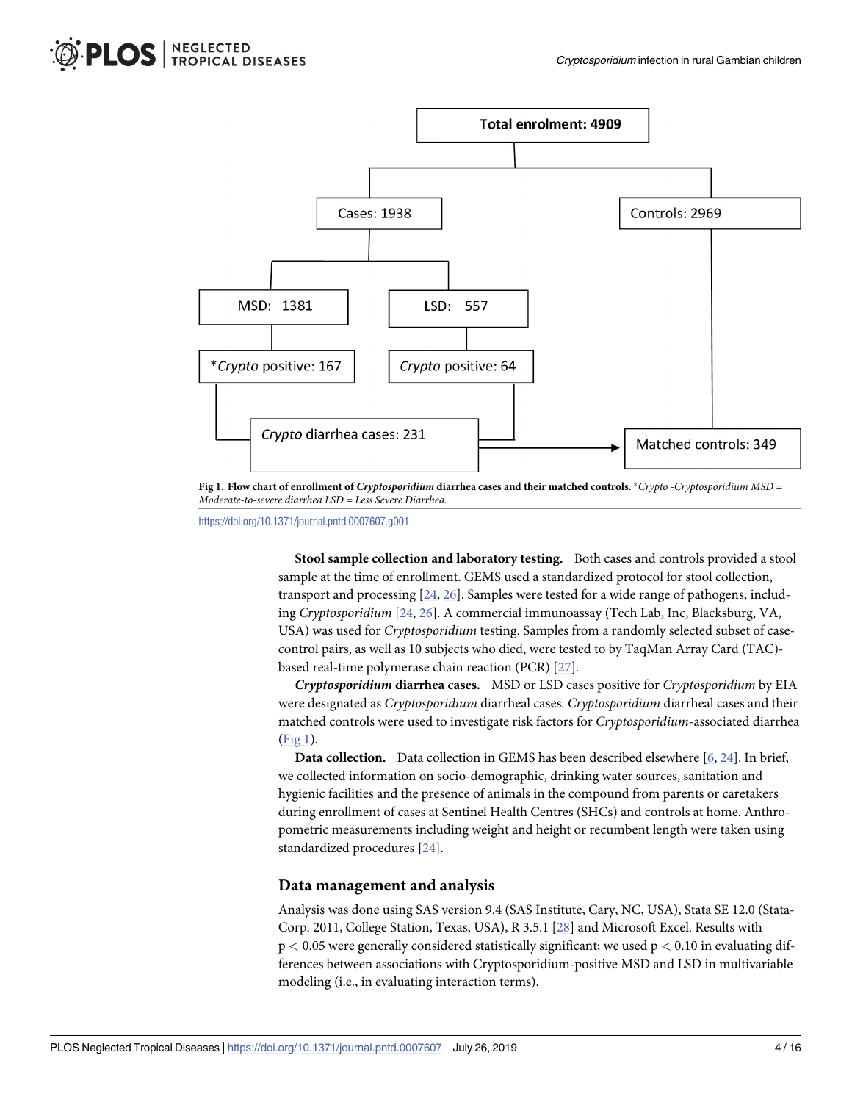<span id="page-3-0"></span>



<https://doi.org/10.1371/journal.pntd.0007607.g001>

**Stool sample collection and laboratory testing.** Both cases and controls provided a stool sample at the time of enrollment. GEMS used a standardized protocol for stool collection, transport and processing [[24](#page-13-0), [26](#page-13-0)]. Samples were tested for a wide range of pathogens, including *Cryptosporidium* [\[24,](#page-13-0) [26\]](#page-13-0). A commercial immunoassay (Tech Lab, Inc, Blacksburg, VA, USA) was used for *Cryptosporidium* testing. Samples from a randomly selected subset of casecontrol pairs, as well as 10 subjects who died, were tested to by TaqMan Array Card (TAC) based real-time polymerase chain reaction (PCR) [\[27\]](#page-13-0).

*Cryptosporidium* **diarrhea cases.** MSD or LSD cases positive for *Cryptosporidium* by EIA were designated as *Cryptosporidium* diarrheal cases. *Cryptosporidium* diarrheal cases and their matched controls were used to investigate risk factors for *Cryptosporidium*-associated diarrhea (Fig 1).

**Data collection.** Data collection in GEMS has been described elsewhere [[6](#page-12-0), [24](#page-13-0)]. In brief, we collected information on socio-demographic, drinking water sources, sanitation and hygienic facilities and the presence of animals in the compound from parents or caretakers during enrollment of cases at Sentinel Health Centres (SHCs) and controls at home. Anthropometric measurements including weight and height or recumbent length were taken using standardized procedures [[24](#page-13-0)].

#### **Data management and analysis**

Analysis was done using SAS version 9.4 (SAS Institute, Cary, NC, USA), Stata SE 12.0 (Stata-Corp. 2011, College Station, Texas, USA), R 3.5.1 [\[28\]](#page-13-0) and Microsoft Excel. Results with p *<* 0.05 were generally considered statistically significant; we used p *<* 0.10 in evaluating differences between associations with Cryptosporidium-positive MSD and LSD in multivariable modeling (i.e., in evaluating interaction terms).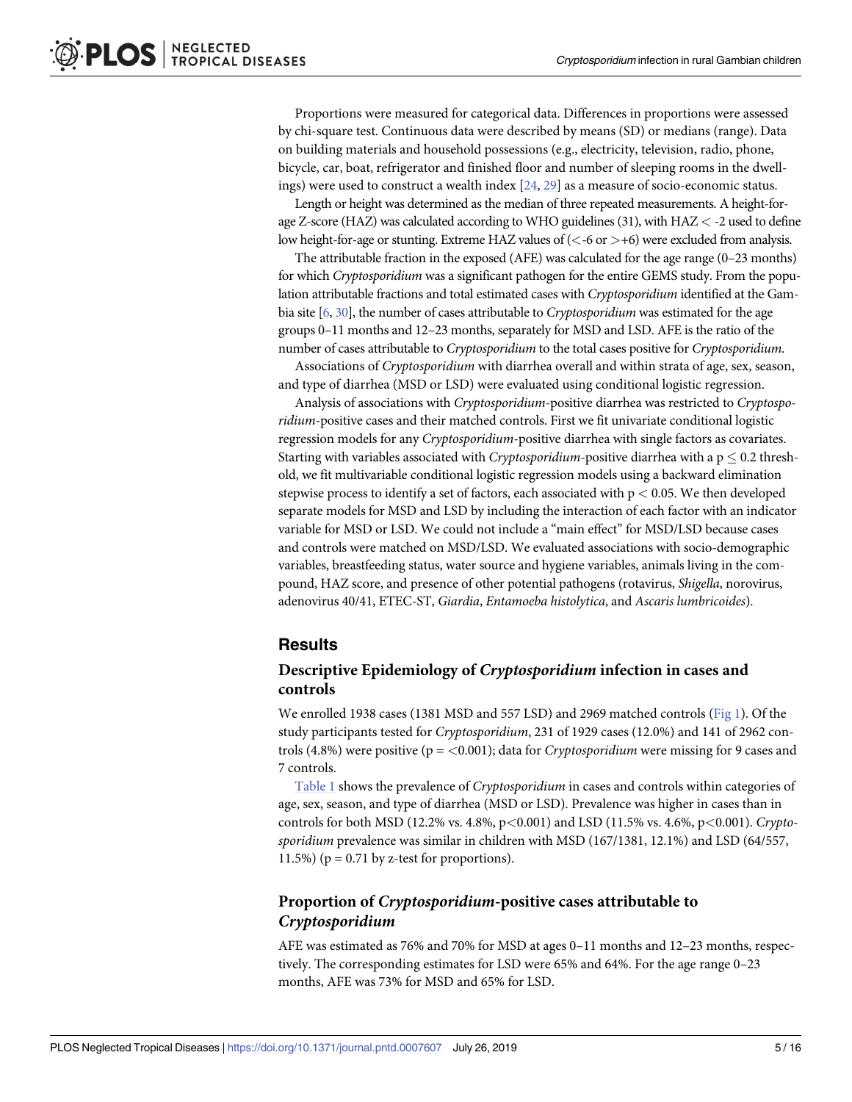<span id="page-4-0"></span>Proportions were measured for categorical data. Differences in proportions were assessed by chi-square test. Continuous data were described by means (SD) or medians (range). Data on building materials and household possessions (e.g., electricity, television, radio, phone, bicycle, car, boat, refrigerator and finished floor and number of sleeping rooms in the dwellings) were used to construct a wealth index [[24](#page-13-0), [29](#page-13-0)] as a measure of socio-economic status.

Length or height was determined as the median of three repeated measurements. A height-forage Z-score (HAZ) was calculated according to WHO guidelines (31), with HAZ *<* -2 used to define low height-for-age or stunting. Extreme HAZ values of (*<*-6 or *>*+6) were excluded from analysis.

The attributable fraction in the exposed (AFE) was calculated for the age range (0–23 months) for which *Cryptosporidium* was a significant pathogen for the entire GEMS study. From the population attributable fractions and total estimated cases with *Cryptosporidium* identified at the Gambia site [\[6,](#page-12-0) [30](#page-14-0)], the number of cases attributable to *Cryptosporidium* was estimated for the age groups 0–11 months and 12–23 months, separately for MSD and LSD. AFE is the ratio of the number of cases attributable to *Cryptosporidium* to the total cases positive for *Cryptosporidium*.

Associations of *Cryptosporidium* with diarrhea overall and within strata of age, sex, season, and type of diarrhea (MSD or LSD) were evaluated using conditional logistic regression.

Analysis of associations with *Cryptosporidium*-positive diarrhea was restricted to *Cryptosporidium*-positive cases and their matched controls. First we fit univariate conditional logistic regression models for any *Cryptosporidium*-positive diarrhea with single factors as covariates. Starting with variables associated with *Cryptosporidium*-positive diarrhea with a  $p \le 0.2$  threshold, we fit multivariable conditional logistic regression models using a backward elimination stepwise process to identify a set of factors, each associated with p *<* 0.05. We then developed separate models for MSD and LSD by including the interaction of each factor with an indicator variable for MSD or LSD. We could not include a "main effect" for MSD/LSD because cases and controls were matched on MSD/LSD. We evaluated associations with socio-demographic variables, breastfeeding status, water source and hygiene variables, animals living in the compound, HAZ score, and presence of other potential pathogens (rotavirus, *Shigella*, norovirus, adenovirus 40/41, ETEC-ST, *Giardia*, *Entamoeba histolytica*, and *Ascaris lumbricoides*).

#### **Results**

#### **Descriptive Epidemiology of** *Cryptosporidium* **infection in cases and controls**

We enrolled 1938 cases (1381 MSD and 557 LSD) and 2969 matched controls ([Fig](#page-3-0) 1). Of the study participants tested for *Cryptosporidium*, 231 of 1929 cases (12.0%) and 141 of 2962 controls (4.8%) were positive (p = *<*0.001); data for *Cryptosporidium* were missing for 9 cases and 7 controls.

[Table](#page-5-0) 1 shows the prevalence of *Cryptosporidium* in cases and controls within categories of age, sex, season, and type of diarrhea (MSD or LSD). Prevalence was higher in cases than in controls for both MSD (12.2% vs. 4.8%, p*<*0.001) and LSD (11.5% vs. 4.6%, p*<*0.001). *Cryptosporidium* prevalence was similar in children with MSD (167/1381, 12.1%) and LSD (64/557, 11.5%) ( $p = 0.71$  by z-test for proportions).

## **Proportion of** *Cryptosporidium***-positive cases attributable to** *Cryptosporidium*

AFE was estimated as 76% and 70% for MSD at ages 0–11 months and 12–23 months, respectively. The corresponding estimates for LSD were 65% and 64%. For the age range 0–23 months, AFE was 73% for MSD and 65% for LSD.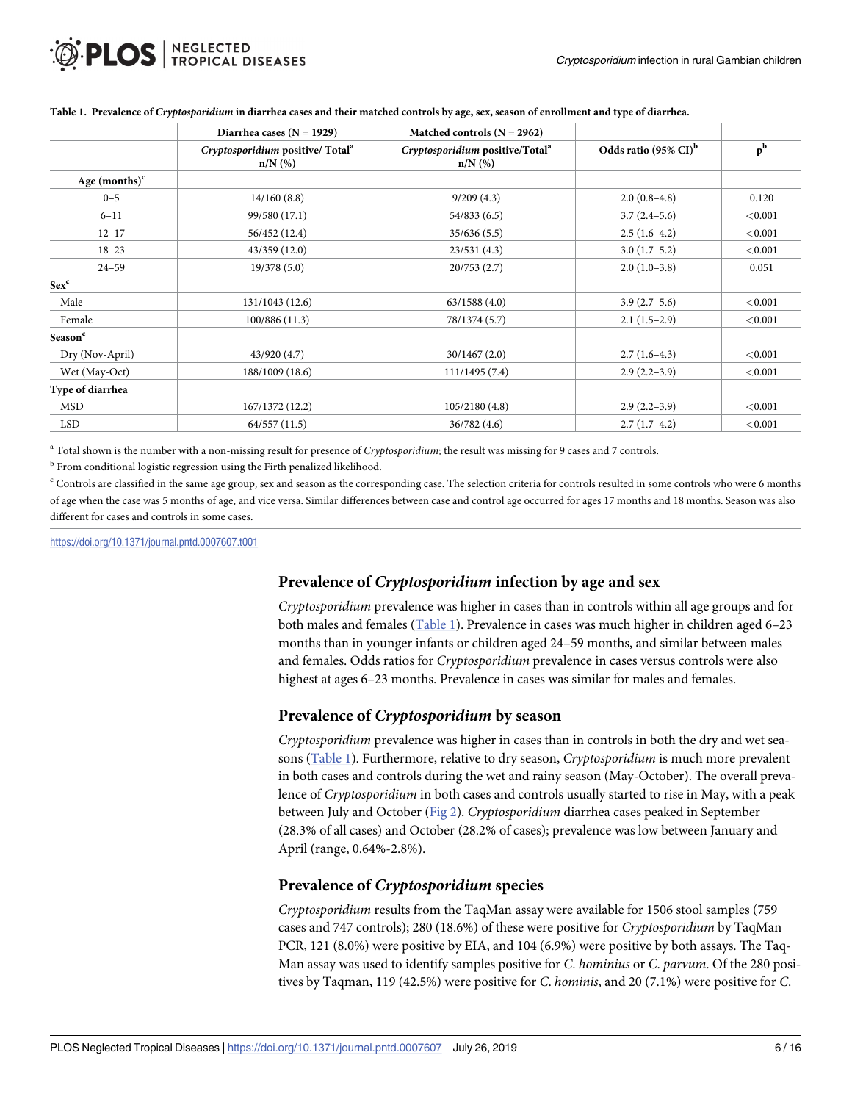|                     | Diarrhea cases ( $N = 1929$ )                            | Matched controls $(N = 2962)$                            |                                  |         |  |
|---------------------|----------------------------------------------------------|----------------------------------------------------------|----------------------------------|---------|--|
|                     | Cryptosporidium positive/Total <sup>a</sup><br>$n/N$ (%) | Cryptosporidium positive/Total <sup>a</sup><br>$n/N$ (%) | Odds ratio $(95\% \text{ CI})^b$ | $p^b$   |  |
| Age $(months)^c$    |                                                          |                                                          |                                  |         |  |
| $0 - 5$             | 14/160(8.8)                                              | 9/209(4.3)                                               | $2.0(0.8-4.8)$                   | 0.120   |  |
| $6 - 11$            | 99/580 (17.1)                                            | 54/833 (6.5)                                             | $3.7(2.4-5.6)$                   | < 0.001 |  |
| $12 - 17$           | 56/452 (12.4)                                            | 35/636 (5.5)                                             | $2.5(1.6-4.2)$                   | < 0.001 |  |
| $18 - 23$           | 43/359(12.0)                                             | 23/531(4.3)                                              | $3.0(1.7-5.2)$                   | < 0.001 |  |
| $24 - 59$           | 19/378(5.0)                                              | 20/753(2.7)                                              | $2.0(1.0-3.8)$                   | 0.051   |  |
| $Sex^c$             |                                                          |                                                          |                                  |         |  |
| Male                | 131/1043 (12.6)                                          | 63/1588(4.0)                                             | $3.9(2.7-5.6)$                   | < 0.001 |  |
| Female              | 100/886 (11.3)                                           | 78/1374 (5.7)                                            | $2.1(1.5-2.9)$                   | < 0.001 |  |
| Season <sup>c</sup> |                                                          |                                                          |                                  |         |  |
| Dry (Nov-April)     | 43/920 (4.7)                                             | 30/1467(2.0)                                             | $2.7(1.6-4.3)$                   | < 0.001 |  |
| Wet (May-Oct)       | 188/1009 (18.6)                                          | 111/1495(7.4)                                            | $2.9(2.2-3.9)$                   | < 0.001 |  |
| Type of diarrhea    |                                                          |                                                          |                                  |         |  |
| MSD                 | 167/1372 (12.2)                                          | 105/2180(4.8)                                            | $2.9(2.2-3.9)$                   | < 0.001 |  |
| LSD                 | 64/557 (11.5)                                            | 36/782(4.6)                                              | $2.7(1.7-4.2)$                   | < 0.001 |  |

#### <span id="page-5-0"></span>[Table](#page-4-0) 1. Prevalence of Cryptosporidium in diarrhea cases and their matched controls by age, sex, season of enrollment and type of diarrhea.

<sup>a</sup> Total shown is the number with a non-missing result for presence of *Cryptosporidium*; the result was missing for 9 cases and 7 controls.

<sup>b</sup> From conditional logistic regression using the Firth penalized likelihood.

<sup>c</sup> Controls are classified in the same age group, sex and season as the corresponding case. The selection criteria for controls resulted in some controls who were 6 months of age when the case was 5 months of age, and vice versa. Similar differences between case and control age occurred for ages 17 months and 18 months. Season was also different for cases and controls in some cases.

<https://doi.org/10.1371/journal.pntd.0007607.t001>

#### **Prevalence of** *Cryptosporidium* **infection by age and sex**

*Cryptosporidium* prevalence was higher in cases than in controls within all age groups and for both males and females (Table 1). Prevalence in cases was much higher in children aged 6–23 months than in younger infants or children aged 24–59 months, and similar between males and females. Odds ratios for *Cryptosporidium* prevalence in cases versus controls were also highest at ages 6–23 months. Prevalence in cases was similar for males and females.

#### **Prevalence of** *Cryptosporidium* **by season**

*Cryptosporidium* prevalence was higher in cases than in controls in both the dry and wet seasons (Table 1). Furthermore, relative to dry season, *Cryptosporidium* is much more prevalent in both cases and controls during the wet and rainy season (May-October). The overall prevalence of *Cryptosporidium* in both cases and controls usually started to rise in May, with a peak between July and October ([Fig](#page-6-0) 2). *Cryptosporidium* diarrhea cases peaked in September (28.3% of all cases) and October (28.2% of cases); prevalence was low between January and April (range, 0.64%-2.8%).

#### **Prevalence of** *Cryptosporidium* **species**

*Cryptosporidium* results from the TaqMan assay were available for 1506 stool samples (759 cases and 747 controls); 280 (18.6%) of these were positive for *Cryptosporidium* by TaqMan PCR, 121 (8.0%) were positive by EIA, and 104 (6.9%) were positive by both assays. The Taq-Man assay was used to identify samples positive for *C*. *hominius* or *C*. *parvum*. Of the 280 positives by Taqman, 119 (42.5%) were positive for *C*. *hominis*, and 20 (7.1%) were positive for *C*.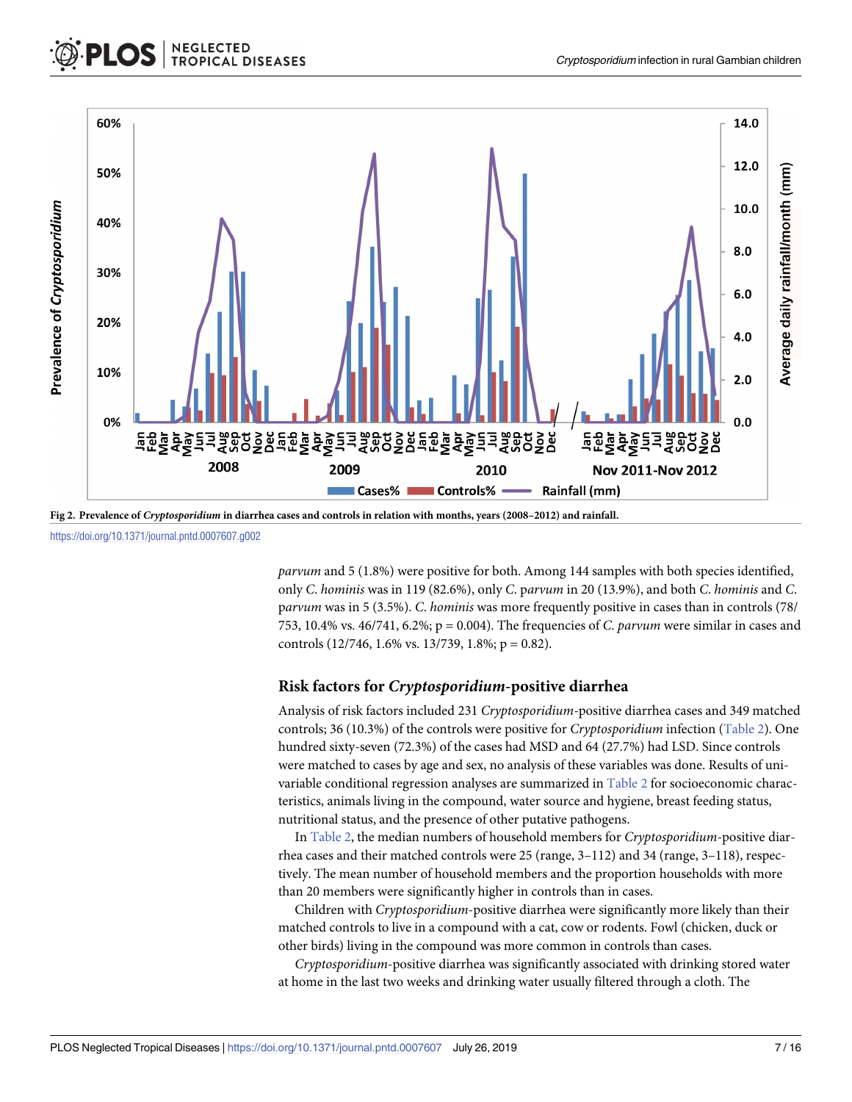<span id="page-6-0"></span>

<https://doi.org/10.1371/journal.pntd.0007607.g002>

*parvum* and 5 (1.8%) were positive for both. Among 144 samples with both species identified, only *C*. *hominis* was in 119 (82.6%), only *C*. p*arvum* in 20 (13.9%), and both *C*. *hominis* and *C*. p*arvum* was in 5 (3.5%). *C*. *hominis* was more frequently positive in cases than in controls (78/ 753, 10.4% vs. 46/741, 6.2%; p = 0.004). The frequencies of *C*. *parvum* were similar in cases and controls (12/746, 1.6% vs. 13/739, 1.8%; p = 0.82).

#### **Risk factors for** *Cryptosporidium***-positive diarrhea**

Analysis of risk factors included 231 *Cryptosporidium*-positive diarrhea cases and 349 matched controls; 36 (10.3%) of the controls were positive for *Cryptosporidium* infection [\(Table](#page-7-0) 2). One hundred sixty-seven (72.3%) of the cases had MSD and 64 (27.7%) had LSD. Since controls were matched to cases by age and sex, no analysis of these variables was done. Results of univariable conditional regression analyses are summarized in [Table](#page-7-0) 2 for socioeconomic characteristics, animals living in the compound, water source and hygiene, breast feeding status, nutritional status, and the presence of other putative pathogens.

In [Table](#page-7-0) 2, the median numbers of household members for *Cryptosporidium*-positive diarrhea cases and their matched controls were 25 (range, 3–112) and 34 (range, 3–118), respectively. The mean number of household members and the proportion households with more than 20 members were significantly higher in controls than in cases.

Children with *Cryptosporidium*-positive diarrhea were significantly more likely than their matched controls to live in a compound with a cat, cow or rodents. Fowl (chicken, duck or other birds) living in the compound was more common in controls than cases.

*Cryptosporidium*-positive diarrhea was significantly associated with drinking stored water at home in the last two weeks and drinking water usually filtered through a cloth. The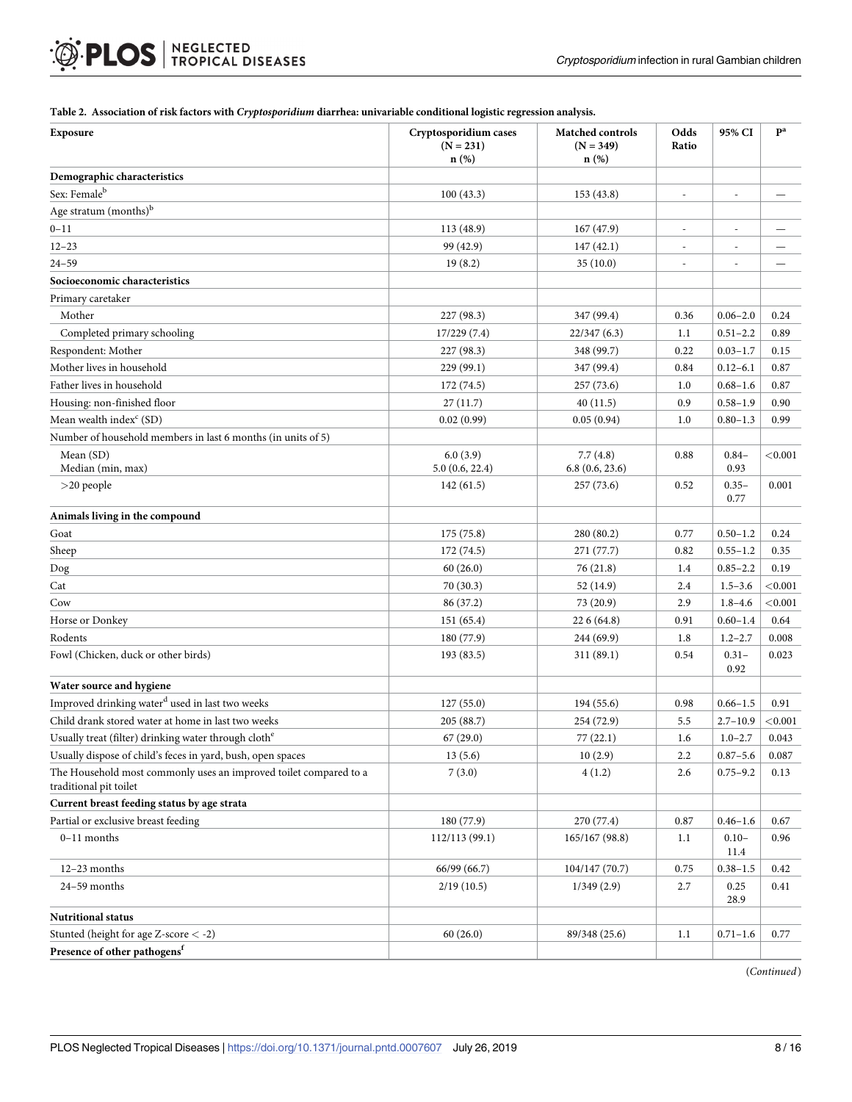| ,,<br><b>Exposure</b>                                                                       | Cryptosporidium cases<br>$(N = 231)$<br>$n$ (%) | Matched controls<br>$(N = 349)$<br>$n$ (%) | Odds<br>Ratio            | 95% CI                   | P <sup>a</sup> |
|---------------------------------------------------------------------------------------------|-------------------------------------------------|--------------------------------------------|--------------------------|--------------------------|----------------|
| Demographic characteristics                                                                 |                                                 |                                            |                          |                          |                |
| Sex: Female <sup>b</sup>                                                                    | 100(43.3)                                       | 153 (43.8)                                 | $\frac{1}{2}$            | $\overline{\phantom{a}}$ |                |
| Age stratum (months) <sup>b</sup>                                                           |                                                 |                                            |                          |                          |                |
| $0 - 11$                                                                                    | 113 (48.9)                                      | 167(47.9)                                  | $\overline{\phantom{a}}$ | $\overline{\phantom{a}}$ |                |
| $12 - 23$                                                                                   | 99 (42.9)                                       | 147(42.1)                                  | $\overline{\phantom{a}}$ | $\overline{\phantom{a}}$ |                |
| $24 - 59$                                                                                   | 19(8.2)                                         | 35(10.0)                                   | $\overline{\phantom{a}}$ | $\overline{\phantom{a}}$ |                |
| Socioeconomic characteristics                                                               |                                                 |                                            |                          |                          |                |
| Primary caretaker                                                                           |                                                 |                                            |                          |                          |                |
| Mother                                                                                      | 227 (98.3)                                      | 347 (99.4)                                 | 0.36                     | $0.06 - 2.0$             | 0.24           |
| Completed primary schooling                                                                 | 17/229(7.4)                                     | 22/347 (6.3)                               | 1.1                      | $0.51 - 2.2$             | 0.89           |
| Respondent: Mother                                                                          | 227 (98.3)                                      | 348 (99.7)                                 | 0.22                     | $0.03 - 1.7$             | 0.15           |
| Mother lives in household                                                                   | 229 (99.1)                                      | 347 (99.4)                                 | 0.84                     | $0.12 - 6.1$             | 0.87           |
| Father lives in household                                                                   | 172 (74.5)                                      | 257 (73.6)                                 | 1.0                      | $0.68 - 1.6$             | 0.87           |
| Housing: non-finished floor                                                                 | 27(11.7)                                        | 40(11.5)                                   | 0.9                      | $0.58 - 1.9$             | 0.90           |
| Mean wealth index <sup>c</sup> (SD)                                                         | 0.02(0.99)                                      | 0.05(0.94)                                 | 1.0                      | $0.80 - 1.3$             | 0.99           |
| Number of household members in last 6 months (in units of 5)                                |                                                 |                                            |                          |                          |                |
| Mean (SD)<br>Median (min, max)                                                              | 6.0(3.9)<br>5.0(0.6, 22.4)                      | 7.7(4.8)<br>6.8(0.6, 23.6)                 | 0.88                     | $0.84 -$<br>0.93         | < 0.001        |
| $>$ 20 people                                                                               | 142(61.5)                                       | 257 (73.6)                                 | 0.52                     | $0.35 -$<br>0.77         | 0.001          |
| Animals living in the compound                                                              |                                                 |                                            |                          |                          |                |
| Goat                                                                                        | 175 (75.8)                                      | 280 (80.2)                                 | 0.77                     | $0.50 - 1.2$             | 0.24           |
| Sheep                                                                                       | 172 (74.5)                                      | 271 (77.7)                                 | 0.82                     | $0.55 - 1.2$             | 0.35           |
| Dog                                                                                         | 60(26.0)                                        | 76 (21.8)                                  | 1.4                      | $0.85 - 2.2$             | 0.19           |
| Cat                                                                                         | 70 (30.3)                                       | 52 (14.9)                                  | 2.4                      | $1.5 - 3.6$              | < 0.001        |
| Cow                                                                                         | 86 (37.2)                                       | 73 (20.9)                                  | 2.9                      | $1.8 - 4.6$              | < 0.001        |
| Horse or Donkey                                                                             | 151 (65.4)                                      | 22 6 (64.8)                                | 0.91                     | $0.60 - 1.4$             | 0.64           |
| Rodents                                                                                     | 180 (77.9)                                      | 244 (69.9)                                 | 1.8                      | $1.2 - 2.7$              | 0.008          |
| Fowl (Chicken, duck or other birds)                                                         | 193 (83.5)                                      | 311 (89.1)                                 | 0.54                     | $0.31 -$<br>0.92         | 0.023          |
| Water source and hygiene                                                                    |                                                 |                                            |                          |                          |                |
| Improved drinking water <sup>d</sup> used in last two weeks                                 | 127(55.0)                                       | 194 (55.6)                                 | 0.98                     | $0.66 - 1.5$             | 0.91           |
| Child drank stored water at home in last two weeks                                          | 205 (88.7)                                      | 254 (72.9)                                 | 5.5                      | $2.7 - 10.9$             | < 0.001        |
| Usually treat (filter) drinking water through $\mathrm{cloth}^\mathrm{e}$                   | 67 (29.0)                                       | 77(22.1)                                   | 1.6                      | $1.0 - 2.7$              | 0.043          |
| Usually dispose of child's feces in yard, bush, open spaces                                 | 13(5.6)                                         | 10(2.9)                                    | 2.2                      | $0.87 - 5.6$             | 0.087          |
| The Household most commonly uses an improved toilet compared to a<br>traditional pit toilet | 7(3.0)                                          | 4(1.2)                                     | 2.6                      | $0.75 - 9.2$             | 0.13           |
| Current breast feeding status by age strata                                                 |                                                 |                                            |                          |                          |                |
| Partial or exclusive breast feeding                                                         | 180 (77.9)                                      | 270 (77.4)                                 | 0.87                     | $0.46 - 1.6$             | 0.67           |
| $0-11$ months                                                                               | 112/113 (99.1)                                  | 165/167 (98.8)                             | 1.1                      | $0.10 -$<br>11.4         | 0.96           |
| $12-23$ months                                                                              | 66/99 (66.7)                                    | 104/147 (70.7)                             | 0.75                     | $0.38 - 1.5$             | 0.42           |
| 24-59 months                                                                                | 2/19(10.5)                                      | 1/349(2.9)                                 | 2.7                      | 0.25<br>28.9             | 0.41           |
| Nutritional status                                                                          |                                                 |                                            |                          |                          |                |
| Stunted (height for age Z-score < -2)                                                       | 60(26.0)                                        | 89/348 (25.6)                              | 1.1                      | $0.71 - 1.6$             | 0.77           |
| Presence of other pathogens <sup>f</sup>                                                    |                                                 |                                            |                          |                          |                |

#### <span id="page-7-0"></span>**[Table](#page-6-0) 2. Association of risk factors with** *Cryptosporidium* **diarrhea: univariable conditional logistic regression analysis.**

(*Continued*)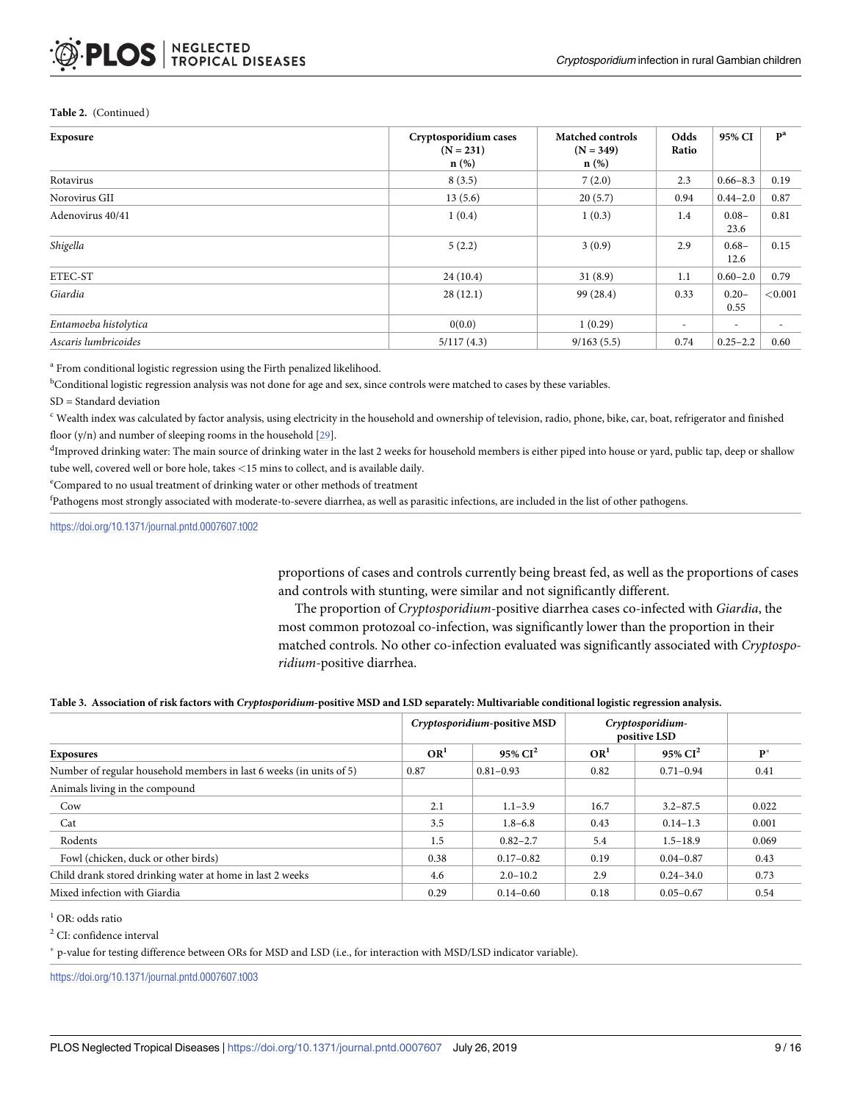#### <span id="page-8-0"></span>**Table 2.** (Continued)

| Exposure              | Cryptosporidium cases<br>$(N = 231)$<br>$n(\%)$ | <b>Matched controls</b><br>$(N = 349)$<br>n(%) | Odds<br>Ratio | 95% CI           | $\mathbf{p}^{\mathbf{a}}$ |
|-----------------------|-------------------------------------------------|------------------------------------------------|---------------|------------------|---------------------------|
| Rotavirus             | 8(3.5)                                          | 7(2.0)                                         | 2.3           | $0.66 - 8.3$     | 0.19                      |
| Norovirus GII         | 13(5.6)                                         | 20(5.7)                                        | 0.94          | $0.44 - 2.0$     | 0.87                      |
| Adenovirus 40/41      | 1(0.4)                                          | 1(0.3)                                         | 1.4           | $0.08 -$<br>23.6 | 0.81                      |
| Shigella              | 5(2.2)                                          | 3(0.9)                                         | 2.9           | $0.68 -$<br>12.6 | 0.15                      |
| ETEC-ST               | 24(10.4)                                        | 31(8.9)                                        | 1.1           | $0.60 - 2.0$     | 0.79                      |
| Giardia               | 28(12.1)                                        | 99 (28.4)                                      | 0.33          | $0.20 -$<br>0.55 | < 0.001                   |
| Entamoeba histolytica | 0(0.0)                                          | 1(0.29)                                        | ٠             | $\sim$           |                           |
| Ascaris lumbricoides  | 5/117(4.3)                                      | 9/163(5.5)                                     | 0.74          | $0.25 - 2.2$     | 0.60                      |

<sup>a</sup> From conditional logistic regression using the Firth penalized likelihood.

<sup>b</sup>Conditional logistic regression analysis was not done for age and sex, since controls were matched to cases by these variables.

SD = Standard deviation

<sup>c</sup> Wealth index was calculated by factor analysis, using electricity in the household and ownership of television, radio, phone, bike, car, boat, refrigerator and finished floor (y/n) and number of sleeping rooms in the household [[29](#page-13-0)].

<sup>d</sup>Improved drinking water: The main source of drinking water in the last 2 weeks for household members is either piped into house or yard, public tap, deep or shallow tube well, covered well or bore hole, takes *<*15 mins to collect, and is available daily.

<sup>e</sup>Compared to no usual treatment of drinking water or other methods of treatment

f Pathogens most strongly associated with moderate-to-severe diarrhea, as well as parasitic infections, are included in the list of other pathogens.

<https://doi.org/10.1371/journal.pntd.0007607.t002>

proportions of cases and controls currently being breast fed, as well as the proportions of cases and controls with stunting, were similar and not significantly different.

The proportion of *Cryptosporidium*-positive diarrhea cases co-infected with *Giardia*, the most common protozoal co-infection, was significantly lower than the proportion in their matched controls. No other co-infection evaluated was significantly associated with *Cryptosporidium*-positive diarrhea.

#### [Table](#page-9-0) 3. Association of risk factors with Cryptosporidium-positive MSD and LSD separately: Multivariable conditional logistic regression analysis.

|                                                                     | Cryptosporidium-positive MSD |               | Cryptosporidium-<br>positive LSD |               |       |
|---------------------------------------------------------------------|------------------------------|---------------|----------------------------------|---------------|-------|
| <b>Exposures</b>                                                    | OR <sup>1</sup>              | $95\%$ $CI^2$ | OR <sup>1</sup>                  | $95\%$ $CI^2$ | $P^*$ |
| Number of regular household members in last 6 weeks (in units of 5) | 0.87                         | $0.81 - 0.93$ | 0.82                             | $0.71 - 0.94$ | 0.41  |
| Animals living in the compound                                      |                              |               |                                  |               |       |
| Cow                                                                 | 2.1                          | $1.1 - 3.9$   | 16.7                             | $3.2 - 87.5$  | 0.022 |
| Cat                                                                 | 3.5                          | $1.8 - 6.8$   | 0.43                             | $0.14 - 1.3$  | 0.001 |
| Rodents                                                             | 1.5                          | $0.82 - 2.7$  | 5.4                              | $1.5 - 18.9$  | 0.069 |
| Fowl (chicken, duck or other birds)                                 | 0.38                         | $0.17 - 0.82$ | 0.19                             | $0.04 - 0.87$ | 0.43  |
| Child drank stored drinking water at home in last 2 weeks           | 4.6                          | $2.0 - 10.2$  | 2.9                              | $0.24 - 34.0$ | 0.73  |
| Mixed infection with Giardia                                        | 0.29                         | $0.14 - 0.60$ | 0.18                             | $0.05 - 0.67$ | 0.54  |

<sup>1</sup> OR: odds ratio

 $^2$  CI: confidence interval

� p-value for testing difference between ORs for MSD and LSD (i.e., for interaction with MSD/LSD indicator variable).

<https://doi.org/10.1371/journal.pntd.0007607.t003>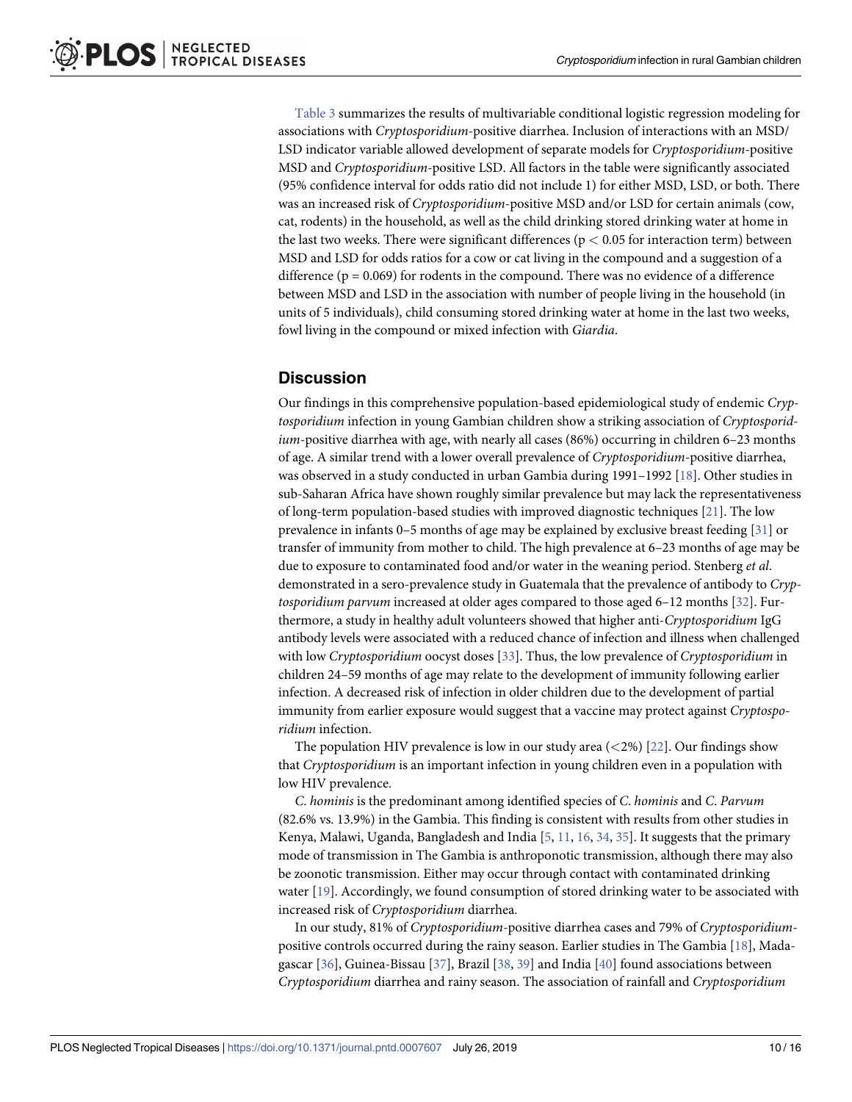<span id="page-9-0"></span>[Table](#page-8-0) 3 summarizes the results of multivariable conditional logistic regression modeling for associations with *Cryptosporidium*-positive diarrhea. Inclusion of interactions with an MSD/ LSD indicator variable allowed development of separate models for *Cryptosporidium*-positive MSD and *Cryptosporidium*-positive LSD. All factors in the table were significantly associated (95% confidence interval for odds ratio did not include 1) for either MSD, LSD, or both. There was an increased risk of *Cryptosporidium*-positive MSD and/or LSD for certain animals (cow, cat, rodents) in the household, as well as the child drinking stored drinking water at home in the last two weeks. There were significant differences ( $p < 0.05$  for interaction term) between MSD and LSD for odds ratios for a cow or cat living in the compound and a suggestion of a difference ( $p = 0.069$ ) for rodents in the compound. There was no evidence of a difference between MSD and LSD in the association with number of people living in the household (in units of 5 individuals), child consuming stored drinking water at home in the last two weeks, fowl living in the compound or mixed infection with *Giardia*.

## **Discussion**

Our findings in this comprehensive population-based epidemiological study of endemic *Cryptosporidium* infection in young Gambian children show a striking association of *Cryptosporidium*-positive diarrhea with age, with nearly all cases (86%) occurring in children 6–23 months of age. A similar trend with a lower overall prevalence of *Cryptosporidium*-positive diarrhea, was observed in a study conducted in urban Gambia during 1991–1992 [[18](#page-13-0)]. Other studies in sub-Saharan Africa have shown roughly similar prevalence but may lack the representativeness of long-term population-based studies with improved diagnostic techniques [\[21\]](#page-13-0). The low prevalence in infants 0–5 months of age may be explained by exclusive breast feeding [[31](#page-14-0)] or transfer of immunity from mother to child. The high prevalence at 6–23 months of age may be due to exposure to contaminated food and/or water in the weaning period. Stenberg *et al*. demonstrated in a sero-prevalence study in Guatemala that the prevalence of antibody to *Cryptosporidium parvum* increased at older ages compared to those aged 6–12 months [\[32\]](#page-14-0). Furthermore, a study in healthy adult volunteers showed that higher anti-*Cryptosporidium* IgG antibody levels were associated with a reduced chance of infection and illness when challenged with low *Cryptosporidium* oocyst doses [[33](#page-14-0)]. Thus, the low prevalence of *Cryptosporidium* in children 24–59 months of age may relate to the development of immunity following earlier infection. A decreased risk of infection in older children due to the development of partial immunity from earlier exposure would suggest that a vaccine may protect against *Cryptosporidium* infection.

The population HIV prevalence is low in our study area (*<*2%) [[22](#page-13-0)]. Our findings show that *Cryptosporidium* is an important infection in young children even in a population with low HIV prevalence.

*C*. *hominis* is the predominant among identified species of *C*. *hominis* and *C*. *Parvum* (82.6% vs. 13.9%) in the Gambia. This finding is consistent with results from other studies in Kenya, Malawi, Uganda, Bangladesh and India [[5](#page-12-0), [11](#page-12-0), [16](#page-13-0), [34](#page-14-0), [35](#page-14-0)]. It suggests that the primary mode of transmission in The Gambia is anthroponotic transmission, although there may also be zoonotic transmission. Either may occur through contact with contaminated drinking water [[19](#page-13-0)]. Accordingly, we found consumption of stored drinking water to be associated with increased risk of *Cryptosporidium* diarrhea.

In our study, 81% of *Cryptosporidium*-positive diarrhea cases and 79% of *Cryptosporidium*positive controls occurred during the rainy season. Earlier studies in The Gambia [\[18\]](#page-13-0), Madagascar [[36](#page-14-0)], Guinea-Bissau [\[37\]](#page-14-0), Brazil [[38,](#page-14-0) [39\]](#page-14-0) and India [[40](#page-14-0)] found associations between *Cryptosporidium* diarrhea and rainy season. The association of rainfall and *Cryptosporidium*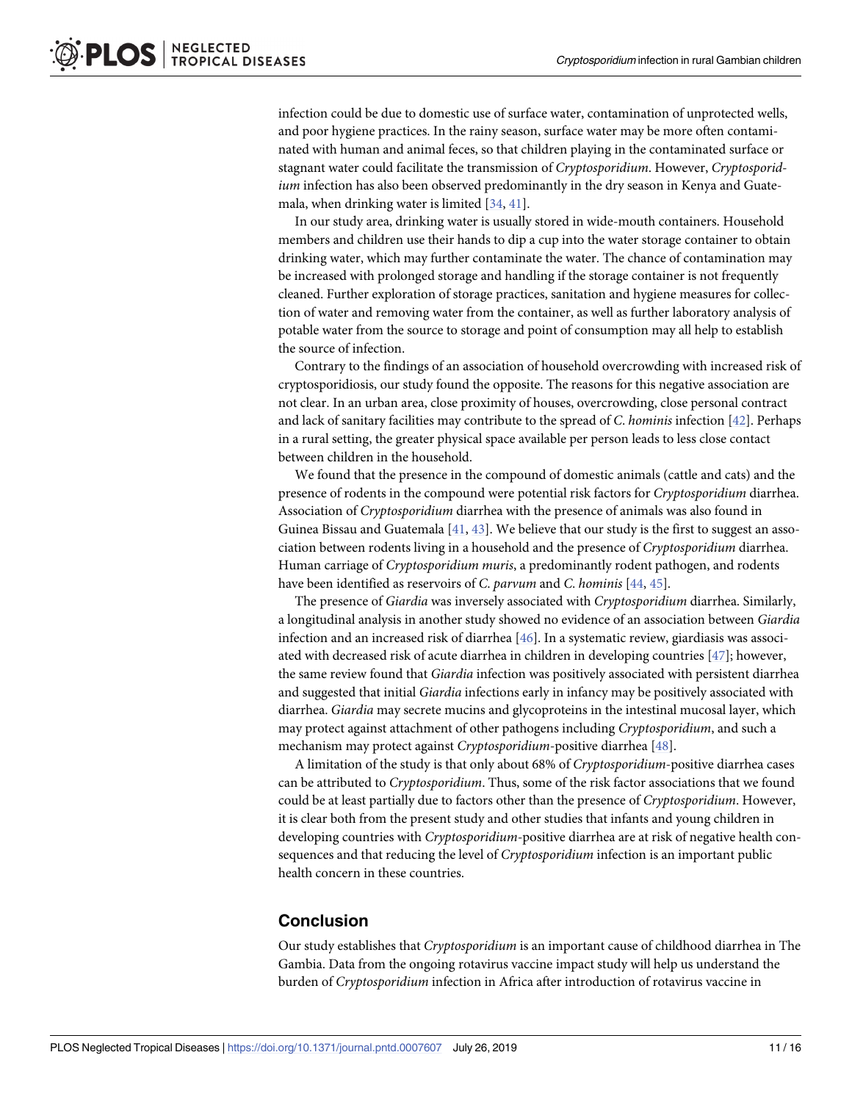<span id="page-10-0"></span>infection could be due to domestic use of surface water, contamination of unprotected wells, and poor hygiene practices. In the rainy season, surface water may be more often contaminated with human and animal feces, so that children playing in the contaminated surface or stagnant water could facilitate the transmission of *Cryptosporidium*. However, *Cryptosporidium* infection has also been observed predominantly in the dry season in Kenya and Guatemala, when drinking water is limited [[34](#page-14-0), [41](#page-14-0)].

In our study area, drinking water is usually stored in wide-mouth containers. Household members and children use their hands to dip a cup into the water storage container to obtain drinking water, which may further contaminate the water. The chance of contamination may be increased with prolonged storage and handling if the storage container is not frequently cleaned. Further exploration of storage practices, sanitation and hygiene measures for collection of water and removing water from the container, as well as further laboratory analysis of potable water from the source to storage and point of consumption may all help to establish the source of infection.

Contrary to the findings of an association of household overcrowding with increased risk of cryptosporidiosis, our study found the opposite. The reasons for this negative association are not clear. In an urban area, close proximity of houses, overcrowding, close personal contract and lack of sanitary facilities may contribute to the spread of *C*. *hominis* infection [[42](#page-14-0)]. Perhaps in a rural setting, the greater physical space available per person leads to less close contact between children in the household.

We found that the presence in the compound of domestic animals (cattle and cats) and the presence of rodents in the compound were potential risk factors for *Cryptosporidium* diarrhea. Association of *Cryptosporidium* diarrhea with the presence of animals was also found in Guinea Bissau and Guatemala [\[41,](#page-14-0) [43\]](#page-14-0). We believe that our study is the first to suggest an association between rodents living in a household and the presence of *Cryptosporidium* diarrhea. Human carriage of *Cryptosporidium muris*, a predominantly rodent pathogen, and rodents have been identified as reservoirs of *C*. *parvum* and *C*. *hominis* [\[44,](#page-14-0) [45\]](#page-14-0).

The presence of *Giardia* was inversely associated with *Cryptosporidium* diarrhea. Similarly, a longitudinal analysis in another study showed no evidence of an association between *Giardia* infection and an increased risk of diarrhea [[46](#page-15-0)]. In a systematic review, giardiasis was associated with decreased risk of acute diarrhea in children in developing countries [[47](#page-15-0)]; however, the same review found that *Giardia* infection was positively associated with persistent diarrhea and suggested that initial *Giardia* infections early in infancy may be positively associated with diarrhea. *Giardia* may secrete mucins and glycoproteins in the intestinal mucosal layer, which may protect against attachment of other pathogens including *Cryptosporidium*, and such a mechanism may protect against *Cryptosporidium*-positive diarrhea [\[48\]](#page-15-0).

A limitation of the study is that only about 68% of *Cryptosporidium*-positive diarrhea cases can be attributed to *Cryptosporidium*. Thus, some of the risk factor associations that we found could be at least partially due to factors other than the presence of *Cryptosporidium*. However, it is clear both from the present study and other studies that infants and young children in developing countries with *Cryptosporidium*-positive diarrhea are at risk of negative health consequences and that reducing the level of *Cryptosporidium* infection is an important public health concern in these countries.

## **Conclusion**

Our study establishes that *Cryptosporidium* is an important cause of childhood diarrhea in The Gambia. Data from the ongoing rotavirus vaccine impact study will help us understand the burden of *Cryptosporidium* infection in Africa after introduction of rotavirus vaccine in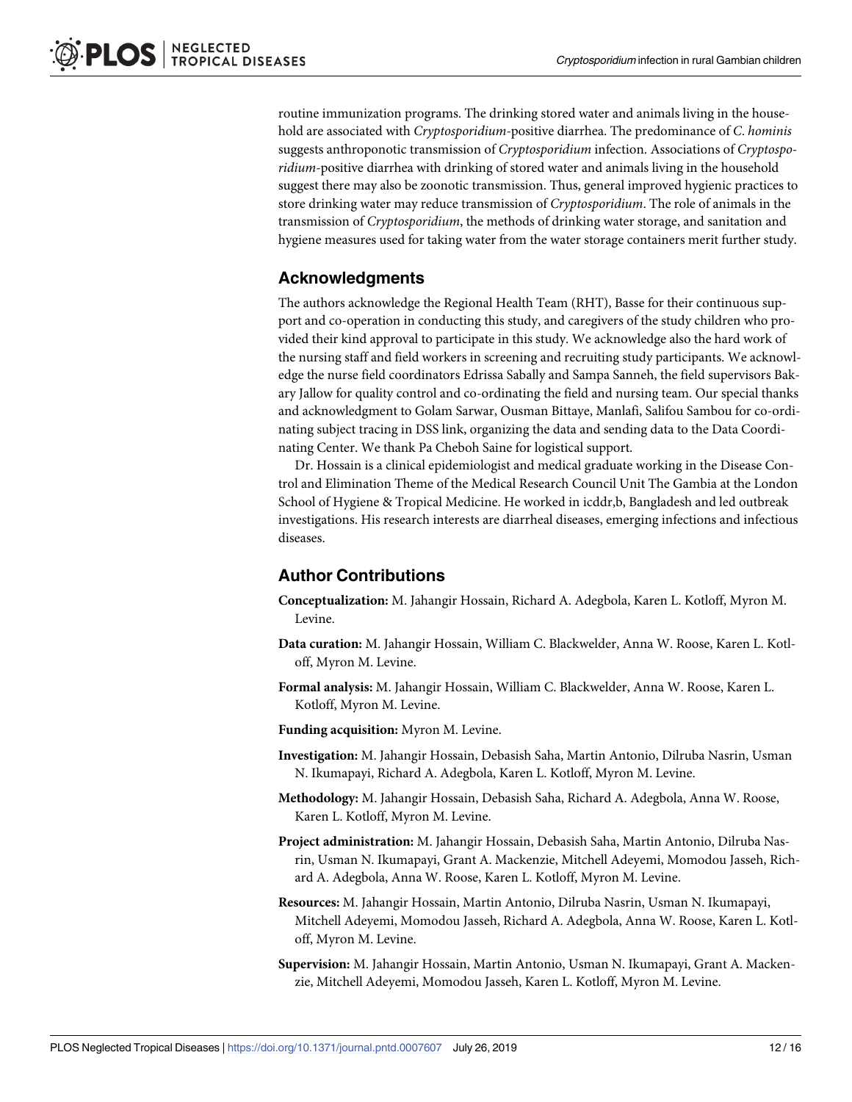routine immunization programs. The drinking stored water and animals living in the household are associated with *Cryptosporidium-*positive diarrhea. The predominance of *C*. *hominis* suggests anthroponotic transmission of *Cryptosporidium* infection. Associations of *Cryptosporidium-*positive diarrhea with drinking of stored water and animals living in the household suggest there may also be zoonotic transmission. Thus, general improved hygienic practices to store drinking water may reduce transmission of *Cryptosporidium*. The role of animals in the transmission of *Cryptosporidium*, the methods of drinking water storage, and sanitation and hygiene measures used for taking water from the water storage containers merit further study.

## **Acknowledgments**

The authors acknowledge the Regional Health Team (RHT), Basse for their continuous support and co-operation in conducting this study, and caregivers of the study children who provided their kind approval to participate in this study. We acknowledge also the hard work of the nursing staff and field workers in screening and recruiting study participants. We acknowledge the nurse field coordinators Edrissa Sabally and Sampa Sanneh, the field supervisors Bakary Jallow for quality control and co-ordinating the field and nursing team. Our special thanks and acknowledgment to Golam Sarwar, Ousman Bittaye, Manlafi, Salifou Sambou for co-ordinating subject tracing in DSS link, organizing the data and sending data to the Data Coordinating Center. We thank Pa Cheboh Saine for logistical support.

Dr. Hossain is a clinical epidemiologist and medical graduate working in the Disease Control and Elimination Theme of the Medical Research Council Unit The Gambia at the London School of Hygiene & Tropical Medicine. He worked in icddr,b, Bangladesh and led outbreak investigations. His research interests are diarrheal diseases, emerging infections and infectious diseases.

#### **Author Contributions**

- **Conceptualization:** M. Jahangir Hossain, Richard A. Adegbola, Karen L. Kotloff, Myron M. Levine.
- **Data curation:** M. Jahangir Hossain, William C. Blackwelder, Anna W. Roose, Karen L. Kotloff, Myron M. Levine.
- **Formal analysis:** M. Jahangir Hossain, William C. Blackwelder, Anna W. Roose, Karen L. Kotloff, Myron M. Levine.
- **Funding acquisition:** Myron M. Levine.
- **Investigation:** M. Jahangir Hossain, Debasish Saha, Martin Antonio, Dilruba Nasrin, Usman N. Ikumapayi, Richard A. Adegbola, Karen L. Kotloff, Myron M. Levine.
- **Methodology:** M. Jahangir Hossain, Debasish Saha, Richard A. Adegbola, Anna W. Roose, Karen L. Kotloff, Myron M. Levine.
- **Project administration:** M. Jahangir Hossain, Debasish Saha, Martin Antonio, Dilruba Nasrin, Usman N. Ikumapayi, Grant A. Mackenzie, Mitchell Adeyemi, Momodou Jasseh, Richard A. Adegbola, Anna W. Roose, Karen L. Kotloff, Myron M. Levine.
- **Resources:** M. Jahangir Hossain, Martin Antonio, Dilruba Nasrin, Usman N. Ikumapayi, Mitchell Adeyemi, Momodou Jasseh, Richard A. Adegbola, Anna W. Roose, Karen L. Kotloff, Myron M. Levine.
- **Supervision:** M. Jahangir Hossain, Martin Antonio, Usman N. Ikumapayi, Grant A. Mackenzie, Mitchell Adeyemi, Momodou Jasseh, Karen L. Kotloff, Myron M. Levine.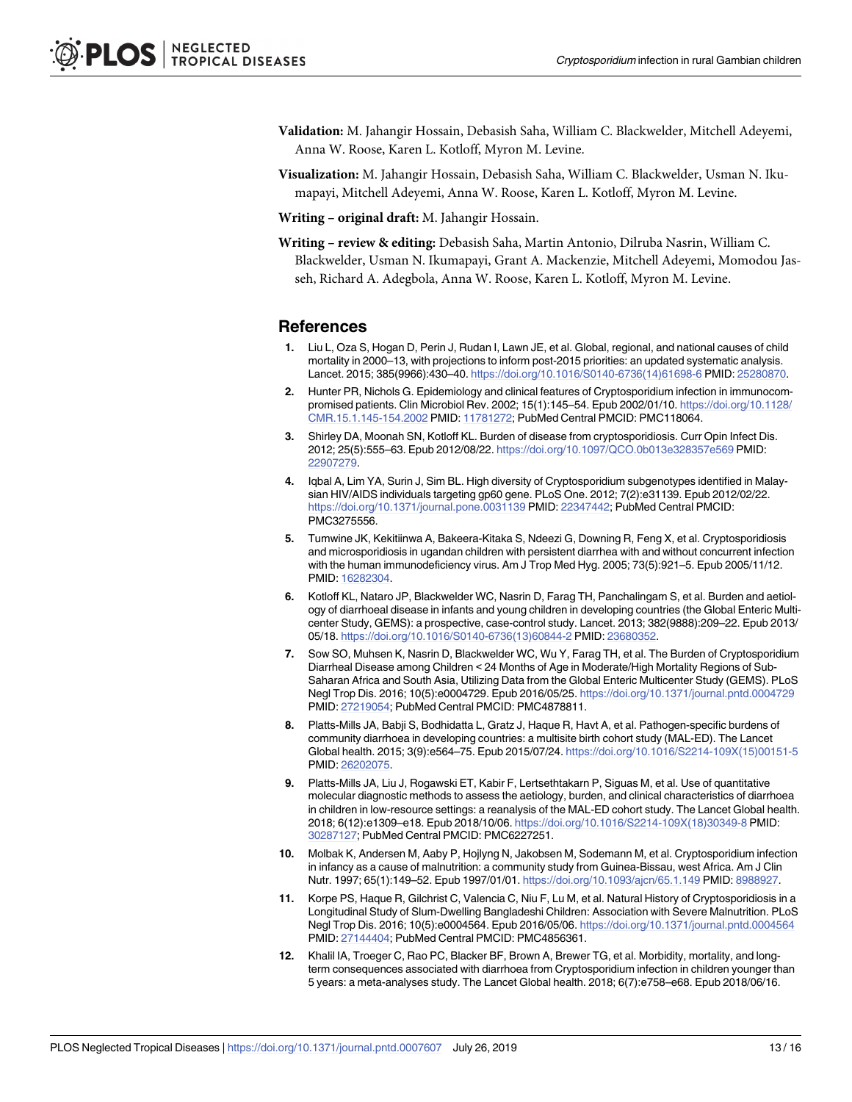- <span id="page-12-0"></span>**Validation:** M. Jahangir Hossain, Debasish Saha, William C. Blackwelder, Mitchell Adeyemi, Anna W. Roose, Karen L. Kotloff, Myron M. Levine.
- **Visualization:** M. Jahangir Hossain, Debasish Saha, William C. Blackwelder, Usman N. Ikumapayi, Mitchell Adeyemi, Anna W. Roose, Karen L. Kotloff, Myron M. Levine.
- **Writing – original draft:** M. Jahangir Hossain.
- **Writing – review & editing:** Debasish Saha, Martin Antonio, Dilruba Nasrin, William C. Blackwelder, Usman N. Ikumapayi, Grant A. Mackenzie, Mitchell Adeyemi, Momodou Jasseh, Richard A. Adegbola, Anna W. Roose, Karen L. Kotloff, Myron M. Levine.

#### **References**

- **[1](#page-1-0).** Liu L, Oza S, Hogan D, Perin J, Rudan I, Lawn JE, et al. Global, regional, and national causes of child mortality in 2000–13, with projections to inform post-2015 priorities: an updated systematic analysis. Lancet. 2015; 385(9966):430–40. [https://doi.org/10.1016/S0140-6736\(14\)61698-6](https://doi.org/10.1016/S0140-6736(14)61698-6) PMID: [25280870](http://www.ncbi.nlm.nih.gov/pubmed/25280870).
- **[2](#page-1-0).** Hunter PR, Nichols G. Epidemiology and clinical features of Cryptosporidium infection in immunocompromised patients. Clin Microbiol Rev. 2002; 15(1):145–54. Epub 2002/01/10. [https://doi.org/10.1128/](https://doi.org/10.1128/CMR.15.1.145-154.2002) [CMR.15.1.145-154.2002](https://doi.org/10.1128/CMR.15.1.145-154.2002) PMID: [11781272](http://www.ncbi.nlm.nih.gov/pubmed/11781272); PubMed Central PMCID: PMC118064.
- **3.** Shirley DA, Moonah SN, Kotloff KL. Burden of disease from cryptosporidiosis. Curr Opin Infect Dis. 2012; 25(5):555–63. Epub 2012/08/22. <https://doi.org/10.1097/QCO.0b013e328357e569> PMID: [22907279](http://www.ncbi.nlm.nih.gov/pubmed/22907279).
- **4.** Iqbal A, Lim YA, Surin J, Sim BL. High diversity of Cryptosporidium subgenotypes identified in Malaysian HIV/AIDS individuals targeting gp60 gene. PLoS One. 2012; 7(2):e31139. Epub 2012/02/22. <https://doi.org/10.1371/journal.pone.0031139> PMID: [22347442](http://www.ncbi.nlm.nih.gov/pubmed/22347442); PubMed Central PMCID: PMC3275556.
- **[5](#page-1-0).** Tumwine JK, Kekitiinwa A, Bakeera-Kitaka S, Ndeezi G, Downing R, Feng X, et al. Cryptosporidiosis and microsporidiosis in ugandan children with persistent diarrhea with and without concurrent infection with the human immunodeficiency virus. Am J Trop Med Hyg. 2005; 73(5):921–5. Epub 2005/11/12. PMID: [16282304](http://www.ncbi.nlm.nih.gov/pubmed/16282304).
- **[6](#page-1-0).** Kotloff KL, Nataro JP, Blackwelder WC, Nasrin D, Farag TH, Panchalingam S, et al. Burden and aetiology of diarrhoeal disease in infants and young children in developing countries (the Global Enteric Multicenter Study, GEMS): a prospective, case-control study. Lancet. 2013; 382(9888):209–22. Epub 2013/ 05/18. [https://doi.org/10.1016/S0140-6736\(13\)60844-2](https://doi.org/10.1016/S0140-6736(13)60844-2) PMID: [23680352.](http://www.ncbi.nlm.nih.gov/pubmed/23680352)
- **[7](#page-1-0).** Sow SO, Muhsen K, Nasrin D, Blackwelder WC, Wu Y, Farag TH, et al. The Burden of Cryptosporidium Diarrheal Disease among Children < 24 Months of Age in Moderate/High Mortality Regions of Sub-Saharan Africa and South Asia, Utilizing Data from the Global Enteric Multicenter Study (GEMS). PLoS Negl Trop Dis. 2016; 10(5):e0004729. Epub 2016/05/25. <https://doi.org/10.1371/journal.pntd.0004729> PMID: [27219054](http://www.ncbi.nlm.nih.gov/pubmed/27219054); PubMed Central PMCID: PMC4878811.
- **[8](#page-1-0).** Platts-Mills JA, Babji S, Bodhidatta L, Gratz J, Haque R, Havt A, et al. Pathogen-specific burdens of community diarrhoea in developing countries: a multisite birth cohort study (MAL-ED). The Lancet Global health. 2015; 3(9):e564–75. Epub 2015/07/24. [https://doi.org/10.1016/S2214-109X\(15\)00151-5](https://doi.org/10.1016/S2214-109X(15)00151-5) PMID: [26202075](http://www.ncbi.nlm.nih.gov/pubmed/26202075).
- **[9](#page-1-0).** Platts-Mills JA, Liu J, Rogawski ET, Kabir F, Lertsethtakarn P, Siguas M, et al. Use of quantitative molecular diagnostic methods to assess the aetiology, burden, and clinical characteristics of diarrhoea in children in low-resource settings: a reanalysis of the MAL-ED cohort study. The Lancet Global health. 2018; 6(12):e1309–e18. Epub 2018/10/06. [https://doi.org/10.1016/S2214-109X\(18\)30349-8](https://doi.org/10.1016/S2214-109X(18)30349-8) PMID: [30287127](http://www.ncbi.nlm.nih.gov/pubmed/30287127); PubMed Central PMCID: PMC6227251.
- **[10](#page-1-0).** Molbak K, Andersen M, Aaby P, Hojlyng N, Jakobsen M, Sodemann M, et al. Cryptosporidium infection in infancy as a cause of malnutrition: a community study from Guinea-Bissau, west Africa. Am J Clin Nutr. 1997; 65(1):149–52. Epub 1997/01/01. <https://doi.org/10.1093/ajcn/65.1.149> PMID: [8988927](http://www.ncbi.nlm.nih.gov/pubmed/8988927).
- **[11](#page-9-0).** Korpe PS, Haque R, Gilchrist C, Valencia C, Niu F, Lu M, et al. Natural History of Cryptosporidiosis in a Longitudinal Study of Slum-Dwelling Bangladeshi Children: Association with Severe Malnutrition. PLoS Negl Trop Dis. 2016; 10(5):e0004564. Epub 2016/05/06. <https://doi.org/10.1371/journal.pntd.0004564> PMID: [27144404](http://www.ncbi.nlm.nih.gov/pubmed/27144404); PubMed Central PMCID: PMC4856361.
- **[12](#page-1-0).** Khalil IA, Troeger C, Rao PC, Blacker BF, Brown A, Brewer TG, et al. Morbidity, mortality, and longterm consequences associated with diarrhoea from Cryptosporidium infection in children younger than 5 years: a meta-analyses study. The Lancet Global health. 2018; 6(7):e758–e68. Epub 2018/06/16.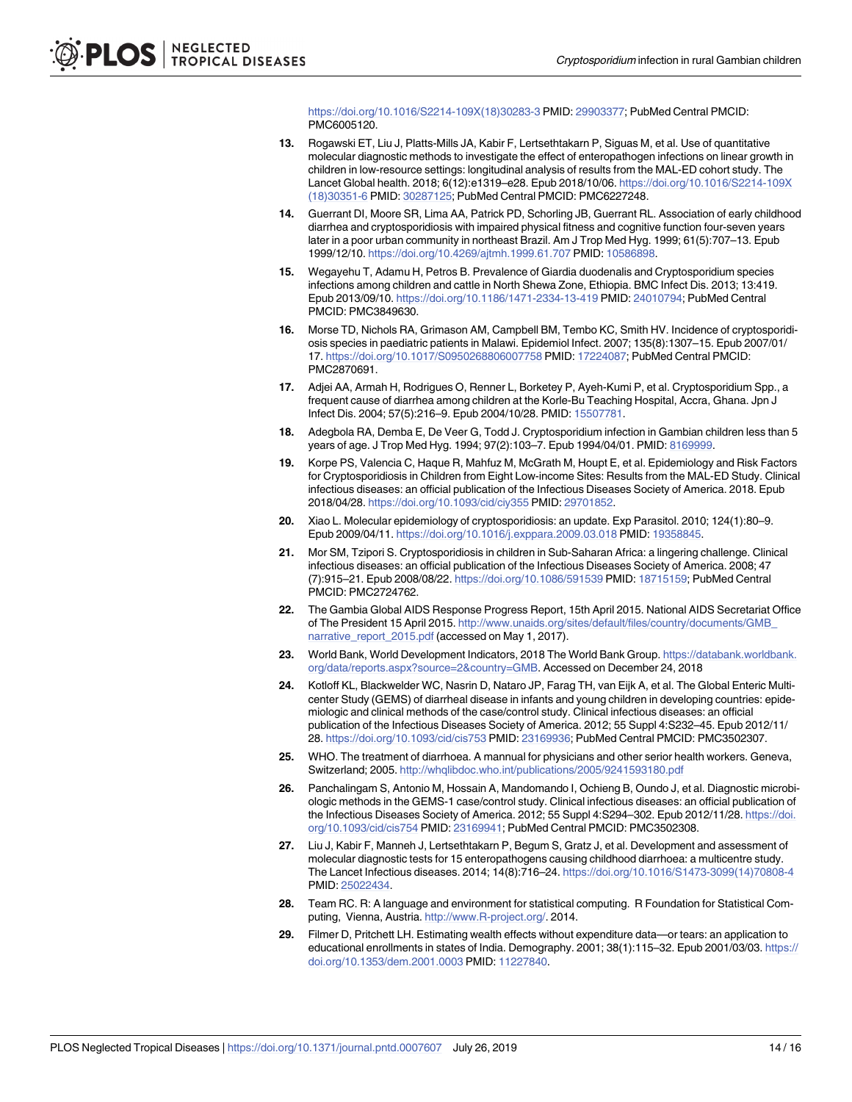[https://doi.org/10.1016/S2214-109X\(18\)30283-3](https://doi.org/10.1016/S2214-109X(18)30283-3) PMID: [29903377;](http://www.ncbi.nlm.nih.gov/pubmed/29903377) PubMed Central PMCID: PMC6005120.

- <span id="page-13-0"></span>**[13](#page-1-0).** Rogawski ET, Liu J, Platts-Mills JA, Kabir F, Lertsethtakarn P, Siguas M, et al. Use of quantitative molecular diagnostic methods to investigate the effect of enteropathogen infections on linear growth in children in low-resource settings: longitudinal analysis of results from the MAL-ED cohort study. The Lancet Global health. 2018; 6(12):e1319–e28. Epub 2018/10/06. [https://doi.org/10.1016/S2214-109X](https://doi.org/10.1016/S2214-109X(18)30351-6) [\(18\)30351-6](https://doi.org/10.1016/S2214-109X(18)30351-6) PMID: [30287125;](http://www.ncbi.nlm.nih.gov/pubmed/30287125) PubMed Central PMCID: PMC6227248.
- **[14](#page-1-0).** Guerrant DI, Moore SR, Lima AA, Patrick PD, Schorling JB, Guerrant RL. Association of early childhood diarrhea and cryptosporidiosis with impaired physical fitness and cognitive function four-seven years later in a poor urban community in northeast Brazil. Am J Trop Med Hyg. 1999; 61(5):707–13. Epub 1999/12/10. <https://doi.org/10.4269/ajtmh.1999.61.707> PMID: [10586898.](http://www.ncbi.nlm.nih.gov/pubmed/10586898)
- **[15](#page-1-0).** Wegayehu T, Adamu H, Petros B. Prevalence of Giardia duodenalis and Cryptosporidium species infections among children and cattle in North Shewa Zone, Ethiopia. BMC Infect Dis. 2013; 13:419. Epub 2013/09/10. <https://doi.org/10.1186/1471-2334-13-419> PMID: [24010794](http://www.ncbi.nlm.nih.gov/pubmed/24010794); PubMed Central PMCID: PMC3849630.
- **[16](#page-9-0).** Morse TD, Nichols RA, Grimason AM, Campbell BM, Tembo KC, Smith HV. Incidence of cryptosporidiosis species in paediatric patients in Malawi. Epidemiol Infect. 2007; 135(8):1307–15. Epub 2007/01/ 17. <https://doi.org/10.1017/S0950268806007758> PMID: [17224087](http://www.ncbi.nlm.nih.gov/pubmed/17224087); PubMed Central PMCID: PMC2870691.
- **17.** Adjei AA, Armah H, Rodrigues O, Renner L, Borketey P, Ayeh-Kumi P, et al. Cryptosporidium Spp., a frequent cause of diarrhea among children at the Korle-Bu Teaching Hospital, Accra, Ghana. Jpn J Infect Dis. 2004; 57(5):216–9. Epub 2004/10/28. PMID: [15507781.](http://www.ncbi.nlm.nih.gov/pubmed/15507781)
- **[18](#page-1-0).** Adegbola RA, Demba E, De Veer G, Todd J. Cryptosporidium infection in Gambian children less than 5 years of age. J Trop Med Hyg. 1994; 97(2):103–7. Epub 1994/04/01. PMID: [8169999](http://www.ncbi.nlm.nih.gov/pubmed/8169999).
- **[19](#page-1-0).** Korpe PS, Valencia C, Haque R, Mahfuz M, McGrath M, Houpt E, et al. Epidemiology and Risk Factors for Cryptosporidiosis in Children from Eight Low-income Sites: Results from the MAL-ED Study. Clinical infectious diseases: an official publication of the Infectious Diseases Society of America. 2018. Epub 2018/04/28. <https://doi.org/10.1093/cid/ciy355> PMID: [29701852.](http://www.ncbi.nlm.nih.gov/pubmed/29701852)
- **[20](#page-1-0).** Xiao L. Molecular epidemiology of cryptosporidiosis: an update. Exp Parasitol. 2010; 124(1):80–9. Epub 2009/04/11. <https://doi.org/10.1016/j.exppara.2009.03.018> PMID: [19358845.](http://www.ncbi.nlm.nih.gov/pubmed/19358845)
- **[21](#page-1-0).** Mor SM, Tzipori S. Cryptosporidiosis in children in Sub-Saharan Africa: a lingering challenge. Clinical infectious diseases: an official publication of the Infectious Diseases Society of America. 2008; 47 (7):915–21. Epub 2008/08/22. <https://doi.org/10.1086/591539> PMID: [18715159;](http://www.ncbi.nlm.nih.gov/pubmed/18715159) PubMed Central PMCID: PMC2724762.
- **[22](#page-2-0).** The Gambia Global AIDS Response Progress Report, 15th April 2015. National AIDS Secretariat Office of The President 15 April 2015. [http://www.unaids.org/sites/default/files/country/documents/GMB\\_](http://www.unaids.org/sites/default/files/country/documents/GMB_narrative_report_2015.pdf) [narrative\\_report\\_2015.pdf](http://www.unaids.org/sites/default/files/country/documents/GMB_narrative_report_2015.pdf) (accessed on May 1, 2017).
- **[23](#page-2-0).** World Bank, World Development Indicators, 2018 The World Bank Group. [https://databank.worldbank.](https://databank.worldbank.org/data/reports.aspx?source=2&country=GMB) [org/data/reports.aspx?source=2&country=GMB.](https://databank.worldbank.org/data/reports.aspx?source=2&country=GMB) Accessed on December 24, 2018
- **[24](#page-2-0).** Kotloff KL, Blackwelder WC, Nasrin D, Nataro JP, Farag TH, van Eijk A, et al. The Global Enteric Multicenter Study (GEMS) of diarrheal disease in infants and young children in developing countries: epidemiologic and clinical methods of the case/control study. Clinical infectious diseases: an official publication of the Infectious Diseases Society of America. 2012; 55 Suppl 4:S232–45. Epub 2012/11/ 28. <https://doi.org/10.1093/cid/cis753> PMID: [23169936](http://www.ncbi.nlm.nih.gov/pubmed/23169936); PubMed Central PMCID: PMC3502307.
- **[25](#page-2-0).** WHO. The treatment of diarrhoea. A mannual for physicians and other serior health workers. Geneva, Switzerland; 2005. <http://whqlibdoc.who.int/publications/2005/9241593180.pdf>
- **[26](#page-3-0).** Panchalingam S, Antonio M, Hossain A, Mandomando I, Ochieng B, Oundo J, et al. Diagnostic microbiologic methods in the GEMS-1 case/control study. Clinical infectious diseases: an official publication of the Infectious Diseases Society of America. 2012; 55 Suppl 4:S294–302. Epub 2012/11/28. [https://doi.](https://doi.org/10.1093/cid/cis754) [org/10.1093/cid/cis754](https://doi.org/10.1093/cid/cis754) PMID: [23169941](http://www.ncbi.nlm.nih.gov/pubmed/23169941); PubMed Central PMCID: PMC3502308.
- **[27](#page-3-0).** Liu J, Kabir F, Manneh J, Lertsethtakarn P, Begum S, Gratz J, et al. Development and assessment of molecular diagnostic tests for 15 enteropathogens causing childhood diarrhoea: a multicentre study. The Lancet Infectious diseases. 2014; 14(8):716–24. [https://doi.org/10.1016/S1473-3099\(14\)70808-4](https://doi.org/10.1016/S1473-3099(14)70808-4) PMID: [25022434](http://www.ncbi.nlm.nih.gov/pubmed/25022434).
- **[28](#page-3-0).** Team RC. R: A language and environment for statistical computing. R Foundation for Statistical Computing, Vienna, Austria. <http://www.R-project.org/>. 2014.
- **[29](#page-4-0).** Filmer D, Pritchett LH. Estimating wealth effects without expenditure data—or tears: an application to educational enrollments in states of India. Demography. 2001; 38(1):115–32. Epub 2001/03/03. [https://](https://doi.org/10.1353/dem.2001.0003) [doi.org/10.1353/dem.2001.0003](https://doi.org/10.1353/dem.2001.0003) PMID: [11227840](http://www.ncbi.nlm.nih.gov/pubmed/11227840).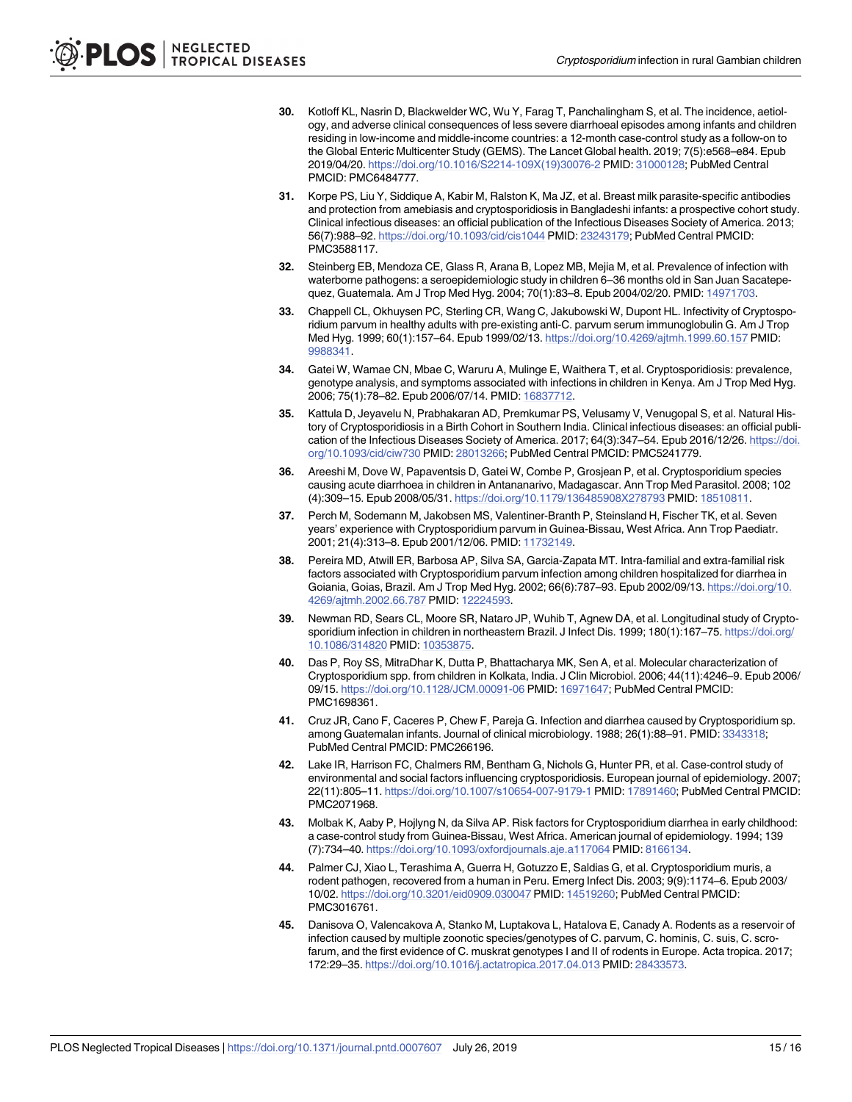- <span id="page-14-0"></span>**[30](#page-4-0).** Kotloff KL, Nasrin D, Blackwelder WC, Wu Y, Farag T, Panchalingham S, et al. The incidence, aetiology, and adverse clinical consequences of less severe diarrhoeal episodes among infants and children residing in low-income and middle-income countries: a 12-month case-control study as a follow-on to the Global Enteric Multicenter Study (GEMS). The Lancet Global health. 2019; 7(5):e568–e84. Epub 2019/04/20. [https://doi.org/10.1016/S2214-109X\(19\)30076-2](https://doi.org/10.1016/S2214-109X(19)30076-2) PMID: [31000128](http://www.ncbi.nlm.nih.gov/pubmed/31000128); PubMed Central PMCID: PMC6484777.
- **[31](#page-9-0).** Korpe PS, Liu Y, Siddique A, Kabir M, Ralston K, Ma JZ, et al. Breast milk parasite-specific antibodies and protection from amebiasis and cryptosporidiosis in Bangladeshi infants: a prospective cohort study. Clinical infectious diseases: an official publication of the Infectious Diseases Society of America. 2013; 56(7):988–92. <https://doi.org/10.1093/cid/cis1044> PMID: [23243179](http://www.ncbi.nlm.nih.gov/pubmed/23243179); PubMed Central PMCID: PMC3588117.
- **[32](#page-9-0).** Steinberg EB, Mendoza CE, Glass R, Arana B, Lopez MB, Mejia M, et al. Prevalence of infection with waterborne pathogens: a seroepidemiologic study in children 6–36 months old in San Juan Sacatepequez, Guatemala. Am J Trop Med Hyg. 2004; 70(1):83–8. Epub 2004/02/20. PMID: [14971703.](http://www.ncbi.nlm.nih.gov/pubmed/14971703)
- **[33](#page-9-0).** Chappell CL, Okhuysen PC, Sterling CR, Wang C, Jakubowski W, Dupont HL. Infectivity of Cryptosporidium parvum in healthy adults with pre-existing anti-C. parvum serum immunoglobulin G. Am J Trop Med Hyg. 1999; 60(1):157–64. Epub 1999/02/13. <https://doi.org/10.4269/ajtmh.1999.60.157> PMID: [9988341](http://www.ncbi.nlm.nih.gov/pubmed/9988341).
- **[34](#page-9-0).** Gatei W, Wamae CN, Mbae C, Waruru A, Mulinge E, Waithera T, et al. Cryptosporidiosis: prevalence, genotype analysis, and symptoms associated with infections in children in Kenya. Am J Trop Med Hyg. 2006; 75(1):78–82. Epub 2006/07/14. PMID: [16837712](http://www.ncbi.nlm.nih.gov/pubmed/16837712).
- **[35](#page-9-0).** Kattula D, Jeyavelu N, Prabhakaran AD, Premkumar PS, Velusamy V, Venugopal S, et al. Natural History of Cryptosporidiosis in a Birth Cohort in Southern India. Clinical infectious diseases: an official publication of the Infectious Diseases Society of America. 2017; 64(3):347–54. Epub 2016/12/26. [https://doi.](https://doi.org/10.1093/cid/ciw730) [org/10.1093/cid/ciw730](https://doi.org/10.1093/cid/ciw730) PMID: [28013266;](http://www.ncbi.nlm.nih.gov/pubmed/28013266) PubMed Central PMCID: PMC5241779.
- **[36](#page-9-0).** Areeshi M, Dove W, Papaventsis D, Gatei W, Combe P, Grosjean P, et al. Cryptosporidium species causing acute diarrhoea in children in Antananarivo, Madagascar. Ann Trop Med Parasitol. 2008; 102 (4):309–15. Epub 2008/05/31. <https://doi.org/10.1179/136485908X278793> PMID: [18510811](http://www.ncbi.nlm.nih.gov/pubmed/18510811).
- **[37](#page-9-0).** Perch M, Sodemann M, Jakobsen MS, Valentiner-Branth P, Steinsland H, Fischer TK, et al. Seven years' experience with Cryptosporidium parvum in Guinea-Bissau, West Africa. Ann Trop Paediatr. 2001; 21(4):313–8. Epub 2001/12/06. PMID: [11732149](http://www.ncbi.nlm.nih.gov/pubmed/11732149).
- **[38](#page-9-0).** Pereira MD, Atwill ER, Barbosa AP, Silva SA, Garcia-Zapata MT. Intra-familial and extra-familial risk factors associated with Cryptosporidium parvum infection among children hospitalized for diarrhea in Goiania, Goias, Brazil. Am J Trop Med Hyg. 2002; 66(6):787–93. Epub 2002/09/13. [https://doi.org/10.](https://doi.org/10.4269/ajtmh.2002.66.787) [4269/ajtmh.2002.66.787](https://doi.org/10.4269/ajtmh.2002.66.787) PMID: [12224593.](http://www.ncbi.nlm.nih.gov/pubmed/12224593)
- **[39](#page-9-0).** Newman RD, Sears CL, Moore SR, Nataro JP, Wuhib T, Agnew DA, et al. Longitudinal study of Cryptosporidium infection in children in northeastern Brazil. J Infect Dis. 1999; 180(1):167–75. [https://doi.org/](https://doi.org/10.1086/314820) [10.1086/314820](https://doi.org/10.1086/314820) PMID: [10353875.](http://www.ncbi.nlm.nih.gov/pubmed/10353875)
- **[40](#page-9-0).** Das P, Roy SS, MitraDhar K, Dutta P, Bhattacharya MK, Sen A, et al. Molecular characterization of Cryptosporidium spp. from children in Kolkata, India. J Clin Microbiol. 2006; 44(11):4246–9. Epub 2006/ 09/15. <https://doi.org/10.1128/JCM.00091-06> PMID: [16971647;](http://www.ncbi.nlm.nih.gov/pubmed/16971647) PubMed Central PMCID: PMC1698361.
- **[41](#page-10-0).** Cruz JR, Cano F, Caceres P, Chew F, Pareja G. Infection and diarrhea caused by Cryptosporidium sp. among Guatemalan infants. Journal of clinical microbiology. 1988; 26(1):88–91. PMID: [3343318](http://www.ncbi.nlm.nih.gov/pubmed/3343318); PubMed Central PMCID: PMC266196.
- **[42](#page-10-0).** Lake IR, Harrison FC, Chalmers RM, Bentham G, Nichols G, Hunter PR, et al. Case-control study of environmental and social factors influencing cryptosporidiosis. European journal of epidemiology. 2007; 22(11):805–11. <https://doi.org/10.1007/s10654-007-9179-1> PMID: [17891460;](http://www.ncbi.nlm.nih.gov/pubmed/17891460) PubMed Central PMCID: PMC2071968.
- **[43](#page-10-0).** Molbak K, Aaby P, Hojlyng N, da Silva AP. Risk factors for Cryptosporidium diarrhea in early childhood: a case-control study from Guinea-Bissau, West Africa. American journal of epidemiology. 1994; 139 (7):734–40. <https://doi.org/10.1093/oxfordjournals.aje.a117064> PMID: [8166134.](http://www.ncbi.nlm.nih.gov/pubmed/8166134)
- **[44](#page-10-0).** Palmer CJ, Xiao L, Terashima A, Guerra H, Gotuzzo E, Saldias G, et al. Cryptosporidium muris, a rodent pathogen, recovered from a human in Peru. Emerg Infect Dis. 2003; 9(9):1174–6. Epub 2003/ 10/02. <https://doi.org/10.3201/eid0909.030047> PMID: [14519260](http://www.ncbi.nlm.nih.gov/pubmed/14519260); PubMed Central PMCID: PMC3016761.
- **[45](#page-10-0).** Danisova O, Valencakova A, Stanko M, Luptakova L, Hatalova E, Canady A. Rodents as a reservoir of infection caused by multiple zoonotic species/genotypes of C. parvum, C. hominis, C. suis, C. scrofarum, and the first evidence of C. muskrat genotypes I and II of rodents in Europe. Acta tropica. 2017; 172:29–35. <https://doi.org/10.1016/j.actatropica.2017.04.013> PMID: [28433573.](http://www.ncbi.nlm.nih.gov/pubmed/28433573)